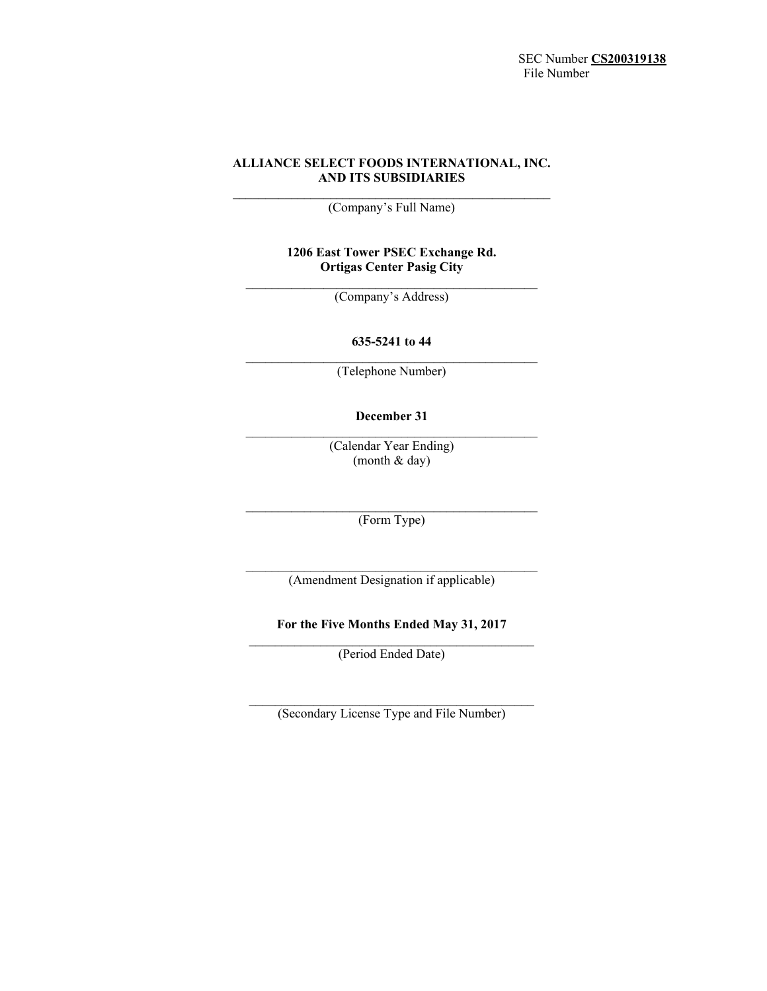SEC Number **CS200319138**  File Number

# **ALLIANCE SELECT FOODS INTERNATIONAL, INC. AND ITS SUBSIDIARIES**

(Company's Full Name)

# **1206 East Tower PSEC Exchange Rd. Ortigas Center Pasig City**

 $\mathcal{L}_\text{max}$  and  $\mathcal{L}_\text{max}$  and  $\mathcal{L}_\text{max}$  and  $\mathcal{L}_\text{max}$ (Company's Address)

# **635-5241 to 44**   $\mathcal{L}_\text{max}$  and  $\mathcal{L}_\text{max}$  and  $\mathcal{L}_\text{max}$  and  $\mathcal{L}_\text{max}$

(Telephone Number)

**December 31** 

(Calendar Year Ending) (month & day)

 $\mathcal{L}_\text{max} = \mathcal{L}_\text{max} = \mathcal{L}_\text{max} = \mathcal{L}_\text{max} = \mathcal{L}_\text{max} = \mathcal{L}_\text{max}$ (Form Type)

 $\mathcal{L}_\text{max} = \mathcal{L}_\text{max} = \mathcal{L}_\text{max} = \mathcal{L}_\text{max} = \mathcal{L}_\text{max} = \mathcal{L}_\text{max}$ (Amendment Designation if applicable)

**For the Five Months Ended May 31, 2017**   $\mathcal{L}_\text{max} = \mathcal{L}_\text{max} = \mathcal{L}_\text{max} = \mathcal{L}_\text{max} = \mathcal{L}_\text{max} = \mathcal{L}_\text{max}$ 

(Period Ended Date)

 $\mathcal{L}_\text{max}$  and the contract of the contract of the contract of the contract of the contract of the contract of the contract of the contract of the contract of the contract of the contract of the contract of the contrac (Secondary License Type and File Number)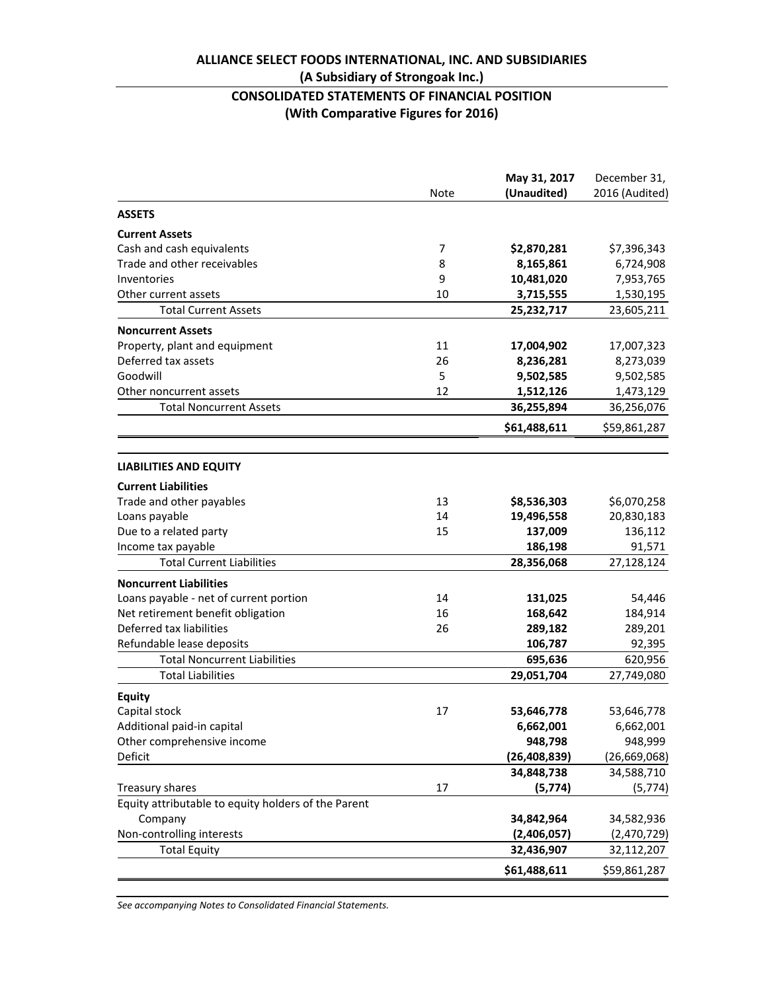# **ALLIANCE SELECT FOODS INTERNATIONAL, INC. AND SUBSIDIARIES**

# **(A Subsidiary of Strongoak Inc.)**

# **CONSOLIDATED STATEMENTS OF FINANCIAL POSITION (With Comparative Figures for 2016)**

|                                                     | Note | May 31, 2017<br>(Unaudited) | December 31,<br>2016 (Audited) |
|-----------------------------------------------------|------|-----------------------------|--------------------------------|
| <b>ASSETS</b>                                       |      |                             |                                |
| <b>Current Assets</b>                               |      |                             |                                |
| Cash and cash equivalents                           | 7    | \$2,870,281                 | \$7,396,343                    |
| Trade and other receivables                         | 8    | 8,165,861                   | 6,724,908                      |
| Inventories                                         | 9    | 10,481,020                  | 7,953,765                      |
| Other current assets                                | 10   | 3,715,555                   | 1,530,195                      |
| <b>Total Current Assets</b>                         |      | 25,232,717                  | 23,605,211                     |
| <b>Noncurrent Assets</b>                            |      |                             |                                |
| Property, plant and equipment                       | 11   | 17,004,902                  | 17,007,323                     |
| Deferred tax assets                                 | 26   | 8,236,281                   | 8,273,039                      |
| Goodwill                                            | 5    | 9,502,585                   | 9,502,585                      |
| Other noncurrent assets                             | 12   | 1,512,126                   | 1,473,129                      |
| <b>Total Noncurrent Assets</b>                      |      | 36,255,894                  | 36,256,076                     |
|                                                     |      | \$61,488,611                | \$59,861,287                   |
| <b>LIABILITIES AND EQUITY</b>                       |      |                             |                                |
| <b>Current Liabilities</b>                          |      |                             |                                |
| Trade and other payables                            | 13   | \$8,536,303                 | \$6,070,258                    |
| Loans payable                                       | 14   | 19,496,558                  | 20,830,183                     |
| Due to a related party                              | 15   | 137,009                     | 136,112                        |
| Income tax payable                                  |      | 186,198                     | 91,571                         |
| <b>Total Current Liabilities</b>                    |      | 28,356,068                  | 27,128,124                     |
| <b>Noncurrent Liabilities</b>                       |      |                             |                                |
| Loans payable - net of current portion              | 14   | 131,025                     | 54,446                         |
| Net retirement benefit obligation                   | 16   | 168,642                     | 184,914                        |
| Deferred tax liabilities                            | 26   | 289,182                     | 289,201                        |
| Refundable lease deposits                           |      | 106,787                     | 92,395                         |
| <b>Total Noncurrent Liabilities</b>                 |      | 695,636                     | 620,956                        |
| <b>Total Liabilities</b>                            |      | 29,051,704                  | 27,749,080                     |
| <b>Equity</b>                                       |      |                             |                                |
| Capital stock                                       | 17   | 53,646,778                  | 53,646,778                     |
| Additional paid-in capital                          |      | 6,662,001                   | 6,662,001                      |
| Other comprehensive income                          |      | 948,798                     | 948,999                        |
| Deficit                                             |      | (26, 408, 839)              | (26, 669, 068)                 |
|                                                     |      | 34,848,738                  | 34,588,710                     |
| Treasury shares                                     | 17   | (5, 774)                    | (5, 774)                       |
| Equity attributable to equity holders of the Parent |      |                             |                                |
| Company                                             |      | 34,842,964                  | 34,582,936                     |
| Non-controlling interests                           |      | (2,406,057)                 | (2,470,729)                    |
| <b>Total Equity</b>                                 |      | 32,436,907                  | 32,112,207                     |
|                                                     |      | \$61,488,611                | \$59,861,287                   |

*See accompanying Notes to Consolidated Financial Statements.*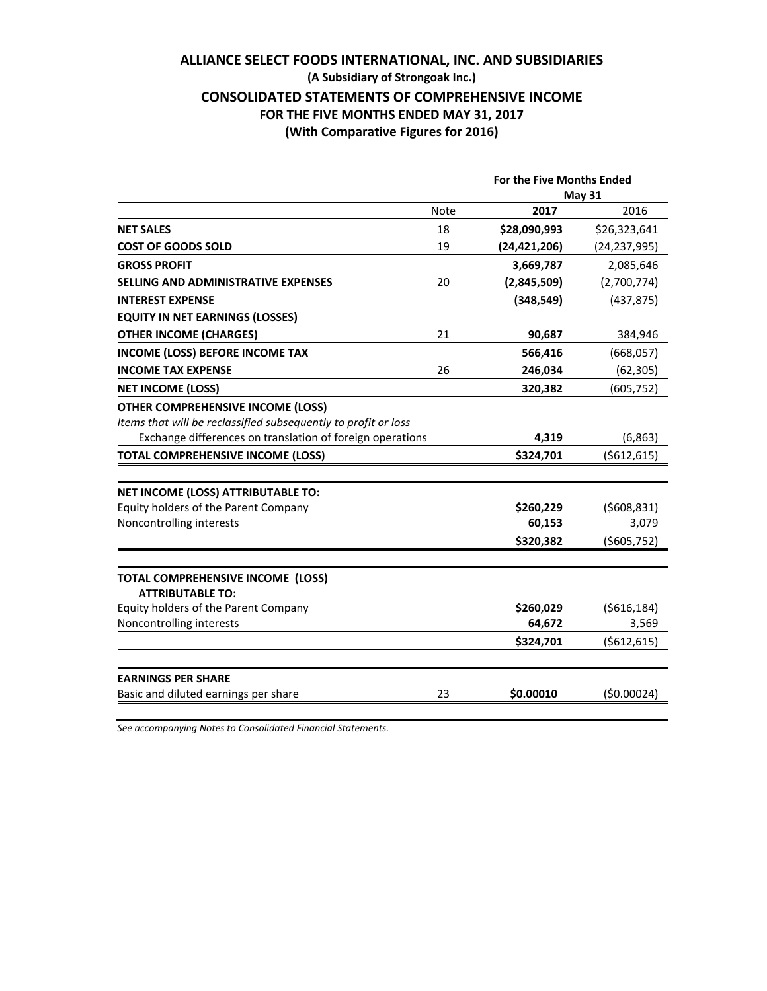# **ALLIANCE SELECT FOODS INTERNATIONAL, INC. AND SUBSIDIARIES (A Subsidiary of Strongoak Inc.)**

# **CONSOLIDATED STATEMENTS OF COMPREHENSIVE INCOME FOR THE FIVE MONTHS ENDED MAY 31, 2017 (With Comparative Figures for 2016)**

|                                                                |             |                | For the Five Months Ended |  |
|----------------------------------------------------------------|-------------|----------------|---------------------------|--|
|                                                                |             | <b>May 31</b>  |                           |  |
|                                                                | <b>Note</b> | 2017           | 2016                      |  |
| <b>NET SALES</b>                                               | 18          | \$28,090,993   | \$26,323,641              |  |
| <b>COST OF GOODS SOLD</b>                                      | 19          | (24, 421, 206) | (24, 237, 995)            |  |
| <b>GROSS PROFIT</b>                                            |             | 3,669,787      | 2,085,646                 |  |
| <b>SELLING AND ADMINISTRATIVE EXPENSES</b>                     | 20          | (2,845,509)    | (2,700,774)               |  |
| <b>INTEREST EXPENSE</b>                                        |             | (348, 549)     | (437, 875)                |  |
| <b>EQUITY IN NET EARNINGS (LOSSES)</b>                         |             |                |                           |  |
| <b>OTHER INCOME (CHARGES)</b>                                  | 21          | 90,687         | 384,946                   |  |
| <b>INCOME (LOSS) BEFORE INCOME TAX</b>                         |             | 566,416        | (668,057)                 |  |
| <b>INCOME TAX EXPENSE</b>                                      | 26          | 246,034        | (62, 305)                 |  |
| <b>NET INCOME (LOSS)</b>                                       |             | 320,382        | (605, 752)                |  |
| <b>OTHER COMPREHENSIVE INCOME (LOSS)</b>                       |             |                |                           |  |
| Items that will be reclassified subsequently to profit or loss |             |                |                           |  |
| Exchange differences on translation of foreign operations      |             | 4,319          | (6, 863)                  |  |
| <b>TOTAL COMPREHENSIVE INCOME (LOSS)</b>                       |             | \$324,701      | ( \$612, 615)             |  |
|                                                                |             |                |                           |  |
| NET INCOME (LOSS) ATTRIBUTABLE TO:                             |             |                |                           |  |
| Equity holders of the Parent Company                           |             | \$260,229      | (5608, 831)               |  |
| Noncontrolling interests                                       |             | 60,153         | 3,079                     |  |
|                                                                |             | \$320,382      | ( \$605, 752)             |  |
| TOTAL COMPREHENSIVE INCOME (LOSS)                              |             |                |                           |  |
| <b>ATTRIBUTABLE TO:</b>                                        |             |                |                           |  |
| Equity holders of the Parent Company                           |             | \$260,029      | ( \$616, 184)             |  |
| Noncontrolling interests                                       |             | 64,672         | 3,569                     |  |
|                                                                |             | \$324,701      | (5612, 615)               |  |
|                                                                |             |                |                           |  |
| <b>EARNINGS PER SHARE</b>                                      |             |                |                           |  |
| Basic and diluted earnings per share                           | 23          | \$0.00010      | (50.00024)                |  |
|                                                                |             |                |                           |  |

*See accompanying Notes to Consolidated Financial Statements.*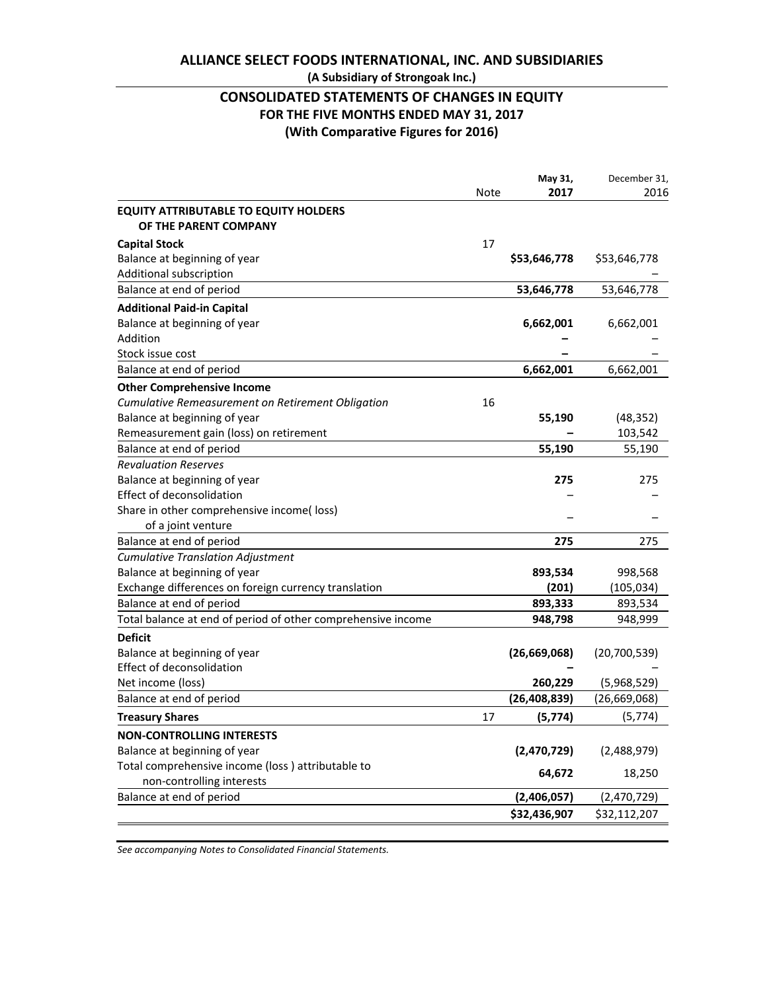# **ALLIANCE SELECT FOODS INTERNATIONAL, INC. AND SUBSIDIARIES**

# **(A Subsidiary of Strongoak Inc.)**

# **CONSOLIDATED STATEMENTS OF CHANGES IN EQUITY FOR THE FIVE MONTHS ENDED MAY 31, 2017 (With Comparative Figures for 2016)**

|                                                              |             | May 31,        | December 31, |
|--------------------------------------------------------------|-------------|----------------|--------------|
|                                                              | <b>Note</b> | 2017           | 2016         |
| <b>EQUITY ATTRIBUTABLE TO EQUITY HOLDERS</b>                 |             |                |              |
| OF THE PARENT COMPANY                                        |             |                |              |
| <b>Capital Stock</b>                                         | 17          |                |              |
| Balance at beginning of year                                 |             | \$53,646,778   | \$53,646,778 |
| Additional subscription                                      |             |                |              |
| Balance at end of period                                     |             | 53,646,778     | 53,646,778   |
| <b>Additional Paid-in Capital</b>                            |             |                |              |
| Balance at beginning of year                                 |             | 6,662,001      | 6,662,001    |
| Addition                                                     |             |                |              |
| Stock issue cost                                             |             |                |              |
| Balance at end of period                                     |             | 6,662,001      | 6,662,001    |
| <b>Other Comprehensive Income</b>                            |             |                |              |
| <b>Cumulative Remeasurement on Retirement Obligation</b>     | 16          |                |              |
| Balance at beginning of year                                 |             | 55,190         | (48, 352)    |
| Remeasurement gain (loss) on retirement                      |             |                | 103,542      |
| Balance at end of period                                     |             | 55,190         | 55,190       |
| <b>Revaluation Reserves</b>                                  |             |                |              |
| Balance at beginning of year                                 |             | 275            | 275          |
| Effect of deconsolidation                                    |             |                |              |
| Share in other comprehensive income( loss)                   |             |                |              |
| of a joint venture                                           |             |                |              |
| Balance at end of period                                     |             | 275            | 275          |
| <b>Cumulative Translation Adjustment</b>                     |             |                |              |
| Balance at beginning of year                                 |             | 893,534        | 998,568      |
| Exchange differences on foreign currency translation         |             | (201)          | (105, 034)   |
| Balance at end of period                                     |             | 893,333        | 893,534      |
| Total balance at end of period of other comprehensive income |             | 948,798        | 948,999      |
| <b>Deficit</b>                                               |             |                |              |
| Balance at beginning of year                                 |             | (26, 669, 068) | (20,700,539) |
| Effect of deconsolidation                                    |             |                |              |
| Net income (loss)                                            |             | 260,229        | (5,968,529)  |
| Balance at end of period                                     |             | (26, 408, 839) | (26,669,068) |
| <b>Treasury Shares</b>                                       | 17          | (5, 774)       | (5, 774)     |
| <b>NON-CONTROLLING INTERESTS</b>                             |             |                |              |
| Balance at beginning of year                                 |             | (2,470,729)    | (2,488,979)  |
| Total comprehensive income (loss) attributable to            |             |                |              |
| non-controlling interests                                    |             | 64,672         | 18,250       |
| Balance at end of period                                     |             | (2,406,057)    | (2,470,729)  |
|                                                              |             | \$32,436,907   | \$32,112,207 |
|                                                              |             |                |              |

*See accompanying Notes to Consolidated Financial Statements.*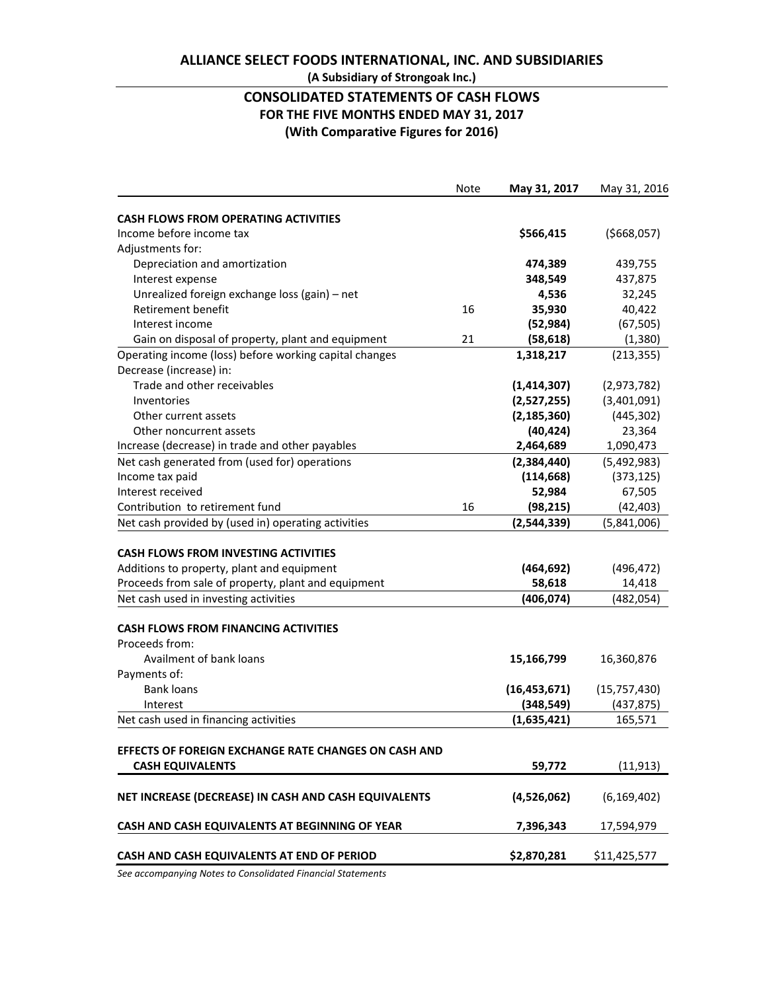# **ALLIANCE SELECT FOODS INTERNATIONAL, INC. AND SUBSIDIARIES (A Subsidiary of Strongoak Inc.)**

# **CONSOLIDATED STATEMENTS OF CASH FLOWS FOR THE FIVE MONTHS ENDED MAY 31, 2017 (With Comparative Figures for 2016)**

|                                                        | Note | May 31, 2017   | May 31, 2016   |
|--------------------------------------------------------|------|----------------|----------------|
| <b>CASH FLOWS FROM OPERATING ACTIVITIES</b>            |      |                |                |
| Income before income tax                               |      | \$566,415      | ( \$668,057)   |
| Adjustments for:                                       |      |                |                |
| Depreciation and amortization                          |      | 474,389        | 439,755        |
| Interest expense                                       |      | 348,549        | 437,875        |
| Unrealized foreign exchange loss (gain) - net          |      | 4,536          | 32,245         |
| <b>Retirement benefit</b>                              | 16   | 35,930         | 40,422         |
| Interest income                                        |      | (52, 984)      | (67, 505)      |
| Gain on disposal of property, plant and equipment      | 21   | (58, 618)      | (1, 380)       |
| Operating income (loss) before working capital changes |      | 1,318,217      | (213, 355)     |
| Decrease (increase) in:                                |      |                |                |
| Trade and other receivables                            |      | (1, 414, 307)  | (2,973,782)    |
| Inventories                                            |      | (2,527,255)    | (3,401,091)    |
| Other current assets                                   |      | (2, 185, 360)  | (445, 302)     |
| Other noncurrent assets                                |      | (40, 424)      | 23,364         |
| Increase (decrease) in trade and other payables        |      | 2,464,689      | 1,090,473      |
| Net cash generated from (used for) operations          |      | (2,384,440)    | (5,492,983)    |
| Income tax paid                                        |      | (114, 668)     | (373, 125)     |
| Interest received                                      |      | 52,984         | 67,505         |
| Contribution to retirement fund                        | 16   | (98, 215)      | (42, 403)      |
| Net cash provided by (used in) operating activities    |      | (2,544,339)    | (5,841,006)    |
|                                                        |      |                |                |
| <b>CASH FLOWS FROM INVESTING ACTIVITIES</b>            |      |                |                |
| Additions to property, plant and equipment             |      | (464, 692)     | (496, 472)     |
| Proceeds from sale of property, plant and equipment    |      | 58,618         | 14,418         |
| Net cash used in investing activities                  |      | (406, 074)     | (482, 054)     |
|                                                        |      |                |                |
| <b>CASH FLOWS FROM FINANCING ACTIVITIES</b>            |      |                |                |
| Proceeds from:                                         |      |                |                |
| Availment of bank loans                                |      | 15,166,799     | 16,360,876     |
| Payments of:                                           |      |                |                |
| <b>Bank loans</b>                                      |      | (16, 453, 671) | (15, 757, 430) |
| Interest                                               |      | (348, 549)     | (437, 875)     |
| Net cash used in financing activities                  |      | (1,635,421)    | 165,571        |
|                                                        |      |                |                |
| EFFECTS OF FOREIGN EXCHANGE RATE CHANGES ON CASH AND   |      |                |                |
| <b>CASH EQUIVALENTS</b>                                |      | 59,772         | (11, 913)      |
|                                                        |      |                |                |
| NET INCREASE (DECREASE) IN CASH AND CASH EQUIVALENTS   |      | (4,526,062)    | (6, 169, 402)  |
| CASH AND CASH EQUIVALENTS AT BEGINNING OF YEAR         |      | 7,396,343      | 17,594,979     |
|                                                        |      |                |                |
| CASH AND CASH EQUIVALENTS AT END OF PERIOD             |      | \$2,870,281    | \$11,425,577   |

*See accompanying Notes to Consolidated Financial Statements*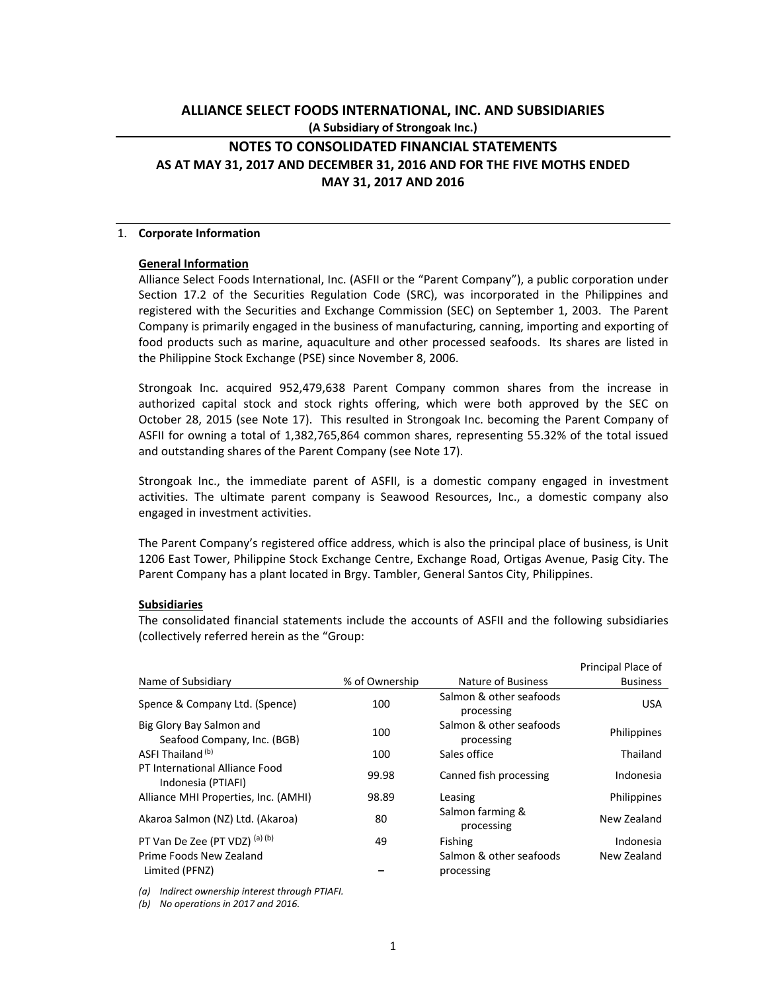# **ALLIANCE SELECT FOODS INTERNATIONAL, INC. AND SUBSIDIARIES (A Subsidiary of Strongoak Inc.)**

# **NOTES TO CONSOLIDATED FINANCIAL STATEMENTS AS AT MAY 31, 2017 AND DECEMBER 31, 2016 AND FOR THE FIVE MOTHS ENDED MAY 31, 2017 AND 2016**

#### 1. **Corporate Information**

#### **General Information**

Alliance Select Foods International, Inc. (ASFII or the "Parent Company"), a public corporation under Section 17.2 of the Securities Regulation Code (SRC), was incorporated in the Philippines and registered with the Securities and Exchange Commission (SEC) on September 1, 2003. The Parent Company is primarily engaged in the business of manufacturing, canning, importing and exporting of food products such as marine, aquaculture and other processed seafoods. Its shares are listed in the Philippine Stock Exchange (PSE) since November 8, 2006.

Strongoak Inc. acquired 952,479,638 Parent Company common shares from the increase in authorized capital stock and stock rights offering, which were both approved by the SEC on October 28, 2015 (see Note 17). This resulted in Strongoak Inc. becoming the Parent Company of ASFII for owning a total of 1,382,765,864 common shares, representing 55.32% of the total issued and outstanding shares of the Parent Company (see Note 17).

Strongoak Inc., the immediate parent of ASFII, is a domestic company engaged in investment activities. The ultimate parent company is Seawood Resources, Inc., a domestic company also engaged in investment activities.

The Parent Company's registered office address, which is also the principal place of business, is Unit 1206 East Tower, Philippine Stock Exchange Centre, Exchange Road, Ortigas Avenue, Pasig City. The Parent Company has a plant located in Brgy. Tambler, General Santos City, Philippines.

#### **Subsidiaries**

The consolidated financial statements include the accounts of ASFII and the following subsidiaries (collectively referred herein as the "Group:

|                                                         |                |                                       | Principal Place of |
|---------------------------------------------------------|----------------|---------------------------------------|--------------------|
| Name of Subsidiary                                      | % of Ownership | Nature of Business                    | <b>Business</b>    |
| Spence & Company Ltd. (Spence)                          | 100            | Salmon & other seafoods<br>processing | <b>USA</b>         |
| Big Glory Bay Salmon and<br>Seafood Company, Inc. (BGB) | 100            | Salmon & other seafoods<br>processing | Philippines        |
| ASFI Thailand (b)                                       | 100            | Sales office                          | Thailand           |
| PT International Alliance Food<br>Indonesia (PTIAFI)    | 99.98          | Canned fish processing                | Indonesia          |
| Alliance MHI Properties, Inc. (AMHI)                    | 98.89          | Leasing                               | Philippines        |
| Akaroa Salmon (NZ) Ltd. (Akaroa)                        | 80             | Salmon farming &<br>processing        | New Zealand        |
| PT Van De Zee (PT VDZ) (a) (b)                          | 49             | Fishing                               | Indonesia          |
| Prime Foods New Zealand<br>Limited (PFNZ)               |                | Salmon & other seafoods<br>processing | New Zealand        |

*(a) Indirect ownership interest through PTIAFI.* 

*(b) No operations in 2017 and 2016.*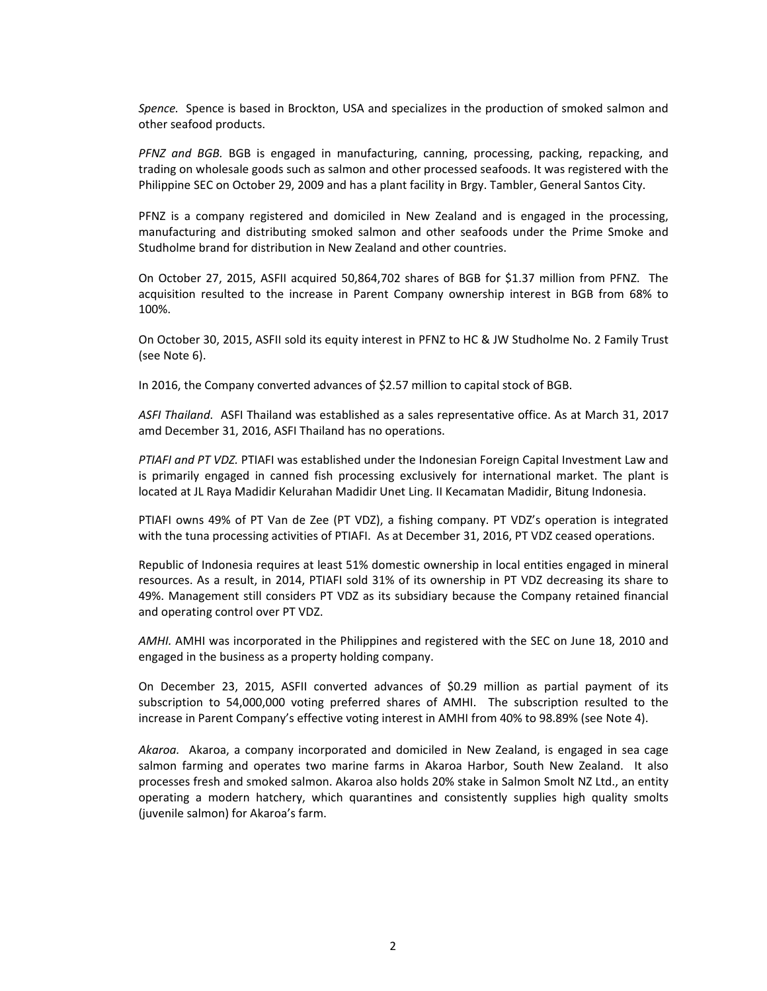*Spence.* Spence is based in Brockton, USA and specializes in the production of smoked salmon and other seafood products.

*PFNZ and BGB.* BGB is engaged in manufacturing, canning, processing, packing, repacking, and trading on wholesale goods such as salmon and other processed seafoods. It was registered with the Philippine SEC on October 29, 2009 and has a plant facility in Brgy. Tambler, General Santos City.

PFNZ is a company registered and domiciled in New Zealand and is engaged in the processing, manufacturing and distributing smoked salmon and other seafoods under the Prime Smoke and Studholme brand for distribution in New Zealand and other countries.

On October 27, 2015, ASFII acquired 50,864,702 shares of BGB for \$1.37 million from PFNZ. The acquisition resulted to the increase in Parent Company ownership interest in BGB from 68% to 100%.

On October 30, 2015, ASFII sold its equity interest in PFNZ to HC & JW Studholme No. 2 Family Trust (see Note 6).

In 2016, the Company converted advances of \$2.57 million to capital stock of BGB.

*ASFI Thailand.* ASFI Thailand was established as a sales representative office. As at March 31, 2017 amd December 31, 2016, ASFI Thailand has no operations.

*PTIAFI and PT VDZ.* PTIAFI was established under the Indonesian Foreign Capital Investment Law and is primarily engaged in canned fish processing exclusively for international market. The plant is located at JL Raya Madidir Kelurahan Madidir Unet Ling. II Kecamatan Madidir, Bitung Indonesia.

PTIAFI owns 49% of PT Van de Zee (PT VDZ), a fishing company. PT VDZ's operation is integrated with the tuna processing activities of PTIAFI. As at December 31, 2016, PT VDZ ceased operations.

Republic of Indonesia requires at least 51% domestic ownership in local entities engaged in mineral resources. As a result, in 2014, PTIAFI sold 31% of its ownership in PT VDZ decreasing its share to 49%. Management still considers PT VDZ as its subsidiary because the Company retained financial and operating control over PT VDZ.

*AMHI.* AMHI was incorporated in the Philippines and registered with the SEC on June 18, 2010 and engaged in the business as a property holding company.

On December 23, 2015, ASFII converted advances of \$0.29 million as partial payment of its subscription to 54,000,000 voting preferred shares of AMHI. The subscription resulted to the increase in Parent Company's effective voting interest in AMHI from 40% to 98.89% (see Note 4).

*Akaroa.*  Akaroa, a company incorporated and domiciled in New Zealand, is engaged in sea cage salmon farming and operates two marine farms in Akaroa Harbor, South New Zealand. It also processes fresh and smoked salmon. Akaroa also holds 20% stake in Salmon Smolt NZ Ltd., an entity operating a modern hatchery, which quarantines and consistently supplies high quality smolts (juvenile salmon) for Akaroa's farm.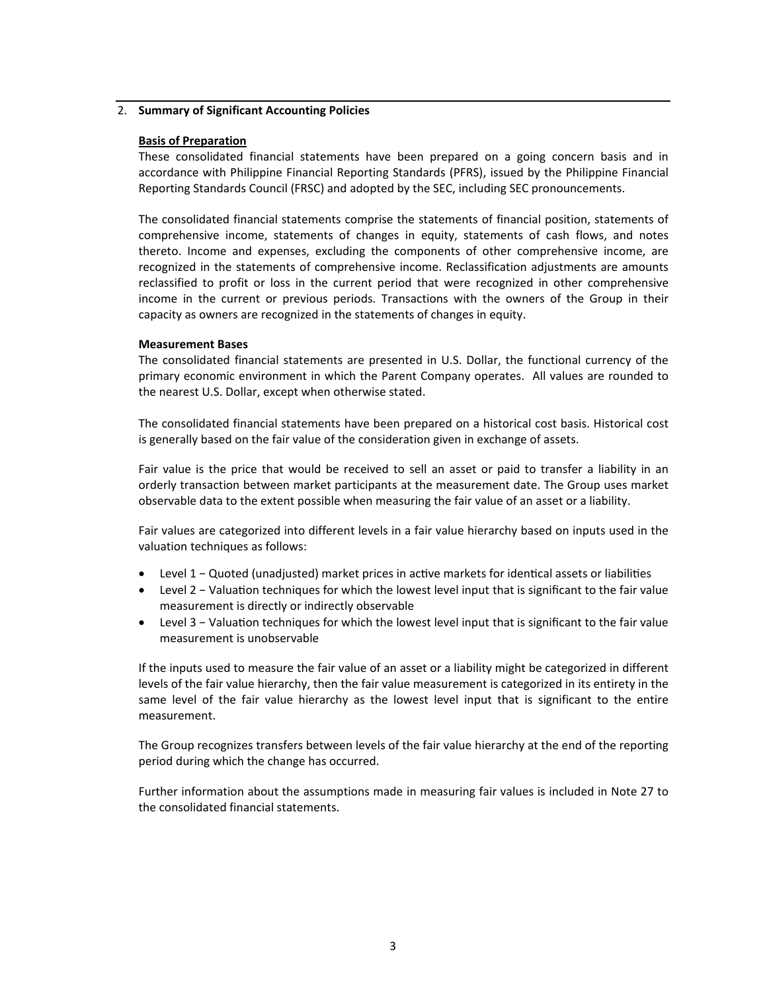# 2. **Summary of Significant Accounting Policies**

# **Basis of Preparation**

These consolidated financial statements have been prepared on a going concern basis and in accordance with Philippine Financial Reporting Standards (PFRS), issued by the Philippine Financial Reporting Standards Council (FRSC) and adopted by the SEC, including SEC pronouncements.

The consolidated financial statements comprise the statements of financial position, statements of comprehensive income, statements of changes in equity, statements of cash flows, and notes thereto. Income and expenses, excluding the components of other comprehensive income, are recognized in the statements of comprehensive income. Reclassification adjustments are amounts reclassified to profit or loss in the current period that were recognized in other comprehensive income in the current or previous periods. Transactions with the owners of the Group in their capacity as owners are recognized in the statements of changes in equity.

# **Measurement Bases**

The consolidated financial statements are presented in U.S. Dollar, the functional currency of the primary economic environment in which the Parent Company operates. All values are rounded to the nearest U.S. Dollar, except when otherwise stated.

The consolidated financial statements have been prepared on a historical cost basis. Historical cost is generally based on the fair value of the consideration given in exchange of assets.

Fair value is the price that would be received to sell an asset or paid to transfer a liability in an orderly transaction between market participants at the measurement date. The Group uses market observable data to the extent possible when measuring the fair value of an asset or a liability.

Fair values are categorized into different levels in a fair value hierarchy based on inputs used in the valuation techniques as follows:

- Level 1 − Quoted (unadjusted) market prices in active markets for identical assets or liabilities
- Level 2 − Valuation techniques for which the lowest level input that is significant to the fair value measurement is directly or indirectly observable
- Level 3 Valuation techniques for which the lowest level input that is significant to the fair value measurement is unobservable

If the inputs used to measure the fair value of an asset or a liability might be categorized in different levels of the fair value hierarchy, then the fair value measurement is categorized in its entirety in the same level of the fair value hierarchy as the lowest level input that is significant to the entire measurement.

The Group recognizes transfers between levels of the fair value hierarchy at the end of the reporting period during which the change has occurred.

Further information about the assumptions made in measuring fair values is included in Note 27 to the consolidated financial statements.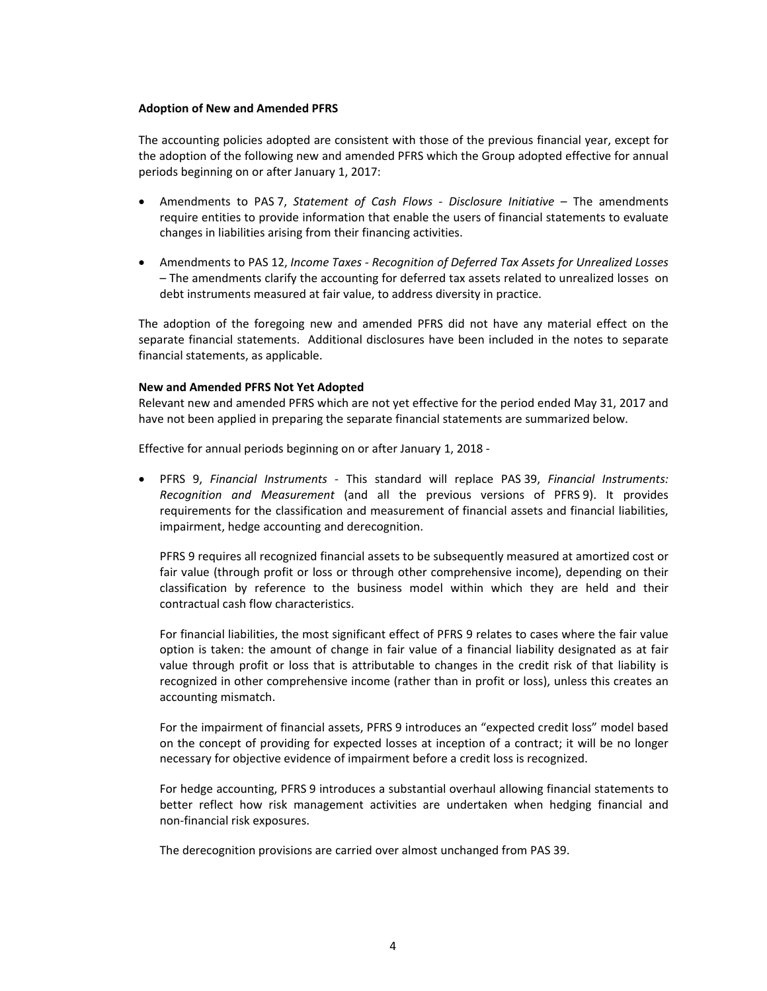#### **Adoption of New and Amended PFRS**

The accounting policies adopted are consistent with those of the previous financial year, except for the adoption of the following new and amended PFRS which the Group adopted effective for annual periods beginning on or after January 1, 2017:

- Amendments to PAS 7, *Statement of Cash Flows ‐ Disclosure Initiative* – The amendments require entities to provide information that enable the users of financial statements to evaluate changes in liabilities arising from their financing activities.
- Amendments to PAS 12, *Income Taxes ‐ Recognition of Deferred Tax Assets for Unrealized Losses* – The amendments clarify the accounting for deferred tax assets related to unrealized losses on debt instruments measured at fair value, to address diversity in practice.

The adoption of the foregoing new and amended PFRS did not have any material effect on the separate financial statements. Additional disclosures have been included in the notes to separate financial statements, as applicable.

#### **New and Amended PFRS Not Yet Adopted**

Relevant new and amended PFRS which are not yet effective for the period ended May 31, 2017 and have not been applied in preparing the separate financial statements are summarized below.

Effective for annual periods beginning on or after January 1, 2018 ‐

 PFRS 9, *Financial Instruments* ‐ This standard will replace PAS 39, *Financial Instruments: Recognition and Measurement* (and all the previous versions of PFRS 9). It provides requirements for the classification and measurement of financial assets and financial liabilities, impairment, hedge accounting and derecognition.

PFRS 9 requires all recognized financial assets to be subsequently measured at amortized cost or fair value (through profit or loss or through other comprehensive income), depending on their classification by reference to the business model within which they are held and their contractual cash flow characteristics.

For financial liabilities, the most significant effect of PFRS 9 relates to cases where the fair value option is taken: the amount of change in fair value of a financial liability designated as at fair value through profit or loss that is attributable to changes in the credit risk of that liability is recognized in other comprehensive income (rather than in profit or loss), unless this creates an accounting mismatch.

For the impairment of financial assets, PFRS 9 introduces an "expected credit loss" model based on the concept of providing for expected losses at inception of a contract; it will be no longer necessary for objective evidence of impairment before a credit loss is recognized.

For hedge accounting, PFRS 9 introduces a substantial overhaul allowing financial statements to better reflect how risk management activities are undertaken when hedging financial and non‐financial risk exposures.

The derecognition provisions are carried over almost unchanged from PAS 39.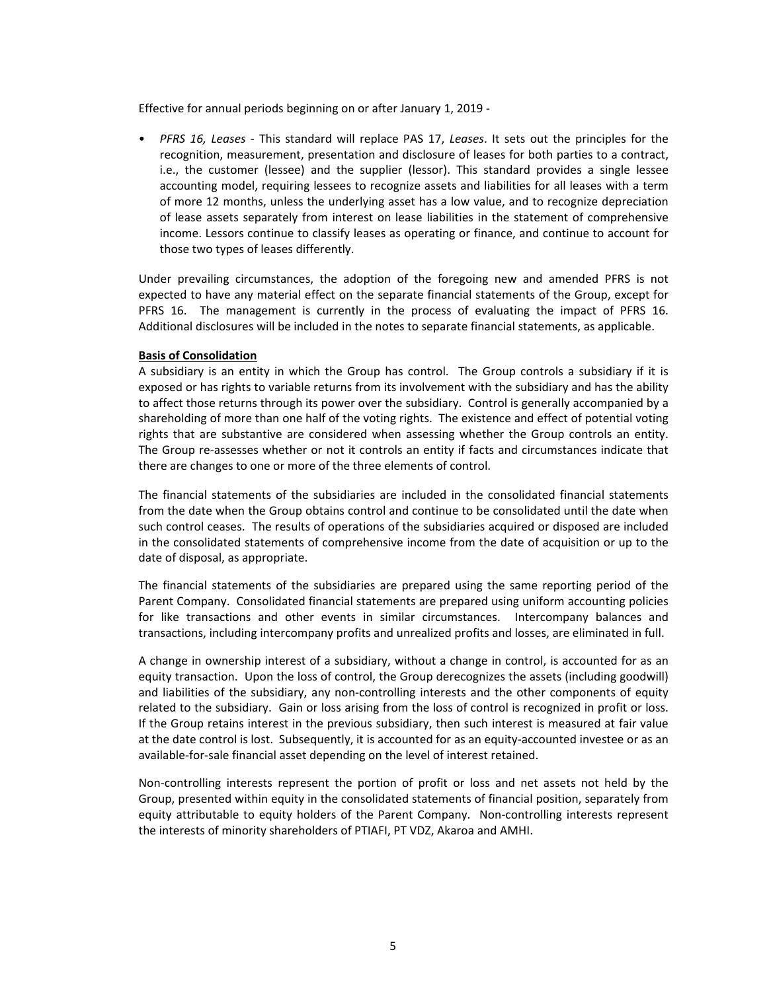Effective for annual periods beginning on or after January 1, 2019 ‐

• *PFRS 16, Leases* ‐ This standard will replace PAS 17, *Leases*. It sets out the principles for the recognition, measurement, presentation and disclosure of leases for both parties to a contract, i.e., the customer (lessee) and the supplier (lessor). This standard provides a single lessee accounting model, requiring lessees to recognize assets and liabilities for all leases with a term of more 12 months, unless the underlying asset has a low value, and to recognize depreciation of lease assets separately from interest on lease liabilities in the statement of comprehensive income. Lessors continue to classify leases as operating or finance, and continue to account for those two types of leases differently.

Under prevailing circumstances, the adoption of the foregoing new and amended PFRS is not expected to have any material effect on the separate financial statements of the Group, except for PFRS 16. The management is currently in the process of evaluating the impact of PFRS 16. Additional disclosures will be included in the notes to separate financial statements, as applicable.

# **Basis of Consolidation**

A subsidiary is an entity in which the Group has control. The Group controls a subsidiary if it is exposed or has rights to variable returns from its involvement with the subsidiary and has the ability to affect those returns through its power over the subsidiary. Control is generally accompanied by a shareholding of more than one half of the voting rights. The existence and effect of potential voting rights that are substantive are considered when assessing whether the Group controls an entity. The Group re‐assesses whether or not it controls an entity if facts and circumstances indicate that there are changes to one or more of the three elements of control.

The financial statements of the subsidiaries are included in the consolidated financial statements from the date when the Group obtains control and continue to be consolidated until the date when such control ceases. The results of operations of the subsidiaries acquired or disposed are included in the consolidated statements of comprehensive income from the date of acquisition or up to the date of disposal, as appropriate.

The financial statements of the subsidiaries are prepared using the same reporting period of the Parent Company. Consolidated financial statements are prepared using uniform accounting policies for like transactions and other events in similar circumstances. Intercompany balances and transactions, including intercompany profits and unrealized profits and losses, are eliminated in full.

A change in ownership interest of a subsidiary, without a change in control, is accounted for as an equity transaction. Upon the loss of control, the Group derecognizes the assets (including goodwill) and liabilities of the subsidiary, any non-controlling interests and the other components of equity related to the subsidiary. Gain or loss arising from the loss of control is recognized in profit or loss. If the Group retains interest in the previous subsidiary, then such interest is measured at fair value at the date control is lost. Subsequently, it is accounted for as an equity‐accounted investee or as an available-for-sale financial asset depending on the level of interest retained.

Non‐controlling interests represent the portion of profit or loss and net assets not held by the Group, presented within equity in the consolidated statements of financial position, separately from equity attributable to equity holders of the Parent Company. Non-controlling interests represent the interests of minority shareholders of PTIAFI, PT VDZ, Akaroa and AMHI.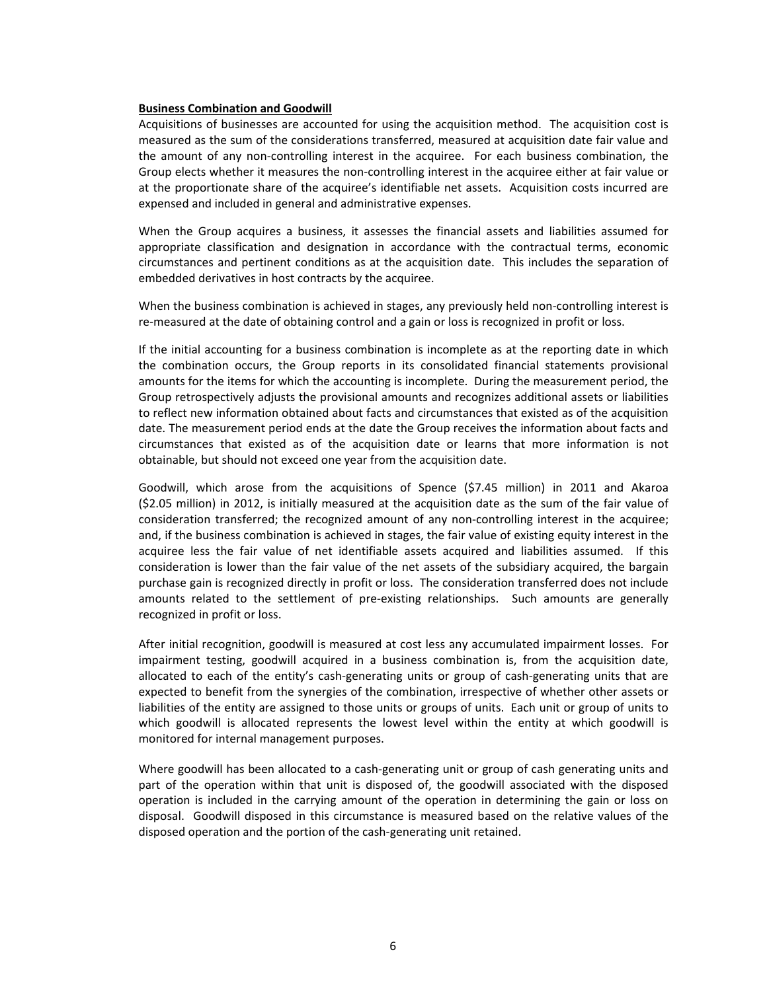#### **Business Combination and Goodwill**

Acquisitions of businesses are accounted for using the acquisition method. The acquisition cost is measured as the sum of the considerations transferred, measured at acquisition date fair value and the amount of any non-controlling interest in the acquiree. For each business combination, the Group elects whether it measures the non‐controlling interest in the acquiree either at fair value or at the proportionate share of the acquiree's identifiable net assets. Acquisition costs incurred are expensed and included in general and administrative expenses.

When the Group acquires a business, it assesses the financial assets and liabilities assumed for appropriate classification and designation in accordance with the contractual terms, economic circumstances and pertinent conditions as at the acquisition date. This includes the separation of embedded derivatives in host contracts by the acquiree.

When the business combination is achieved in stages, any previously held non-controlling interest is re-measured at the date of obtaining control and a gain or loss is recognized in profit or loss.

If the initial accounting for a business combination is incomplete as at the reporting date in which the combination occurs, the Group reports in its consolidated financial statements provisional amounts for the items for which the accounting is incomplete. During the measurement period, the Group retrospectively adjusts the provisional amounts and recognizes additional assets or liabilities to reflect new information obtained about facts and circumstances that existed as of the acquisition date. The measurement period ends at the date the Group receives the information about facts and circumstances that existed as of the acquisition date or learns that more information is not obtainable, but should not exceed one year from the acquisition date.

Goodwill, which arose from the acquisitions of Spence (\$7.45 million) in 2011 and Akaroa (\$2.05 million) in 2012, is initially measured at the acquisition date as the sum of the fair value of consideration transferred; the recognized amount of any non‐controlling interest in the acquiree; and, if the business combination is achieved in stages, the fair value of existing equity interest in the acquiree less the fair value of net identifiable assets acquired and liabilities assumed. If this consideration is lower than the fair value of the net assets of the subsidiary acquired, the bargain purchase gain is recognized directly in profit or loss. The consideration transferred does not include amounts related to the settlement of pre-existing relationships. Such amounts are generally recognized in profit or loss.

After initial recognition, goodwill is measured at cost less any accumulated impairment losses. For impairment testing, goodwill acquired in a business combination is, from the acquisition date, allocated to each of the entity's cash-generating units or group of cash-generating units that are expected to benefit from the synergies of the combination, irrespective of whether other assets or liabilities of the entity are assigned to those units or groups of units. Each unit or group of units to which goodwill is allocated represents the lowest level within the entity at which goodwill is monitored for internal management purposes.

Where goodwill has been allocated to a cash-generating unit or group of cash generating units and part of the operation within that unit is disposed of, the goodwill associated with the disposed operation is included in the carrying amount of the operation in determining the gain or loss on disposal. Goodwill disposed in this circumstance is measured based on the relative values of the disposed operation and the portion of the cash‐generating unit retained.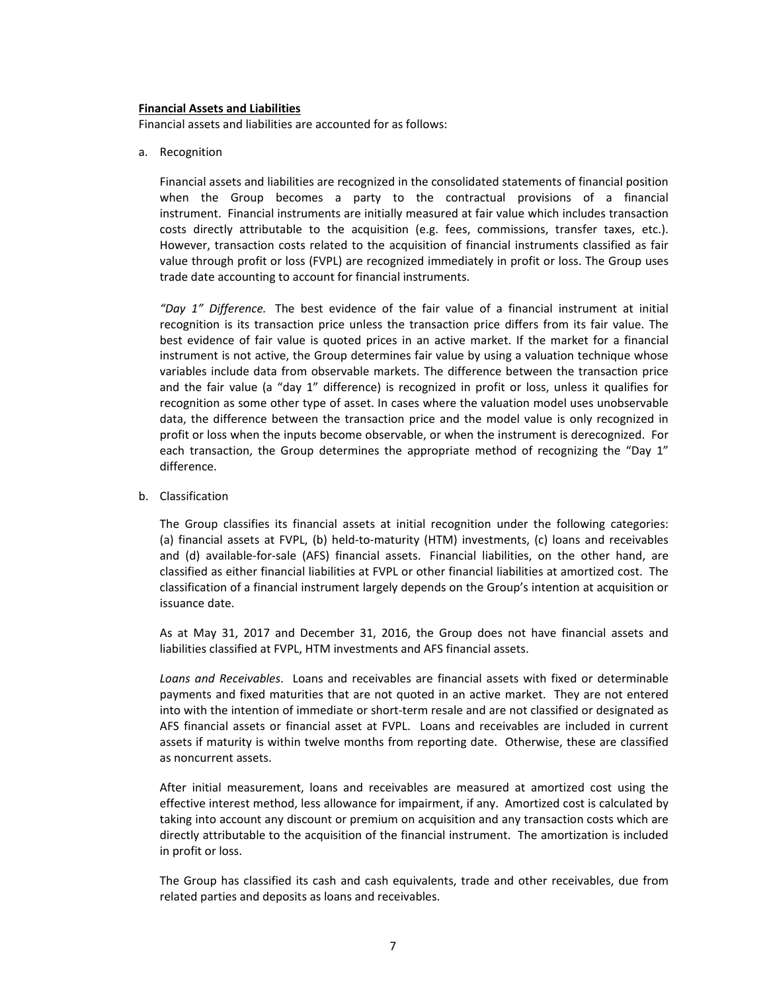#### **Financial Assets and Liabilities**

Financial assets and liabilities are accounted for as follows:

a. Recognition

Financial assets and liabilities are recognized in the consolidated statements of financial position when the Group becomes a party to the contractual provisions of a financial instrument. Financial instruments are initially measured at fair value which includes transaction costs directly attributable to the acquisition (e.g. fees, commissions, transfer taxes, etc.). However, transaction costs related to the acquisition of financial instruments classified as fair value through profit or loss (FVPL) are recognized immediately in profit or loss. The Group uses trade date accounting to account for financial instruments.

*"Day 1" Difference.* The best evidence of the fair value of a financial instrument at initial recognition is its transaction price unless the transaction price differs from its fair value. The best evidence of fair value is quoted prices in an active market. If the market for a financial instrument is not active, the Group determines fair value by using a valuation technique whose variables include data from observable markets. The difference between the transaction price and the fair value (a "day 1" difference) is recognized in profit or loss, unless it qualifies for recognition as some other type of asset. In cases where the valuation model uses unobservable data, the difference between the transaction price and the model value is only recognized in profit or loss when the inputs become observable, or when the instrument is derecognized. For each transaction, the Group determines the appropriate method of recognizing the "Day 1" difference.

b. Classification

The Group classifies its financial assets at initial recognition under the following categories: (a) financial assets at FVPL, (b) held‐to‐maturity (HTM) investments, (c) loans and receivables and (d) available-for-sale (AFS) financial assets. Financial liabilities, on the other hand, are classified as either financial liabilities at FVPL or other financial liabilities at amortized cost. The classification of a financial instrument largely depends on the Group's intention at acquisition or issuance date.

As at May 31, 2017 and December 31, 2016, the Group does not have financial assets and liabilities classified at FVPL, HTM investments and AFS financial assets.

*Loans and Receivables*. Loans and receivables are financial assets with fixed or determinable payments and fixed maturities that are not quoted in an active market. They are not entered into with the intention of immediate or short-term resale and are not classified or designated as AFS financial assets or financial asset at FVPL. Loans and receivables are included in current assets if maturity is within twelve months from reporting date. Otherwise, these are classified as noncurrent assets.

After initial measurement, loans and receivables are measured at amortized cost using the effective interest method, less allowance for impairment, if any. Amortized cost is calculated by taking into account any discount or premium on acquisition and any transaction costs which are directly attributable to the acquisition of the financial instrument. The amortization is included in profit or loss.

The Group has classified its cash and cash equivalents, trade and other receivables, due from related parties and deposits as loans and receivables.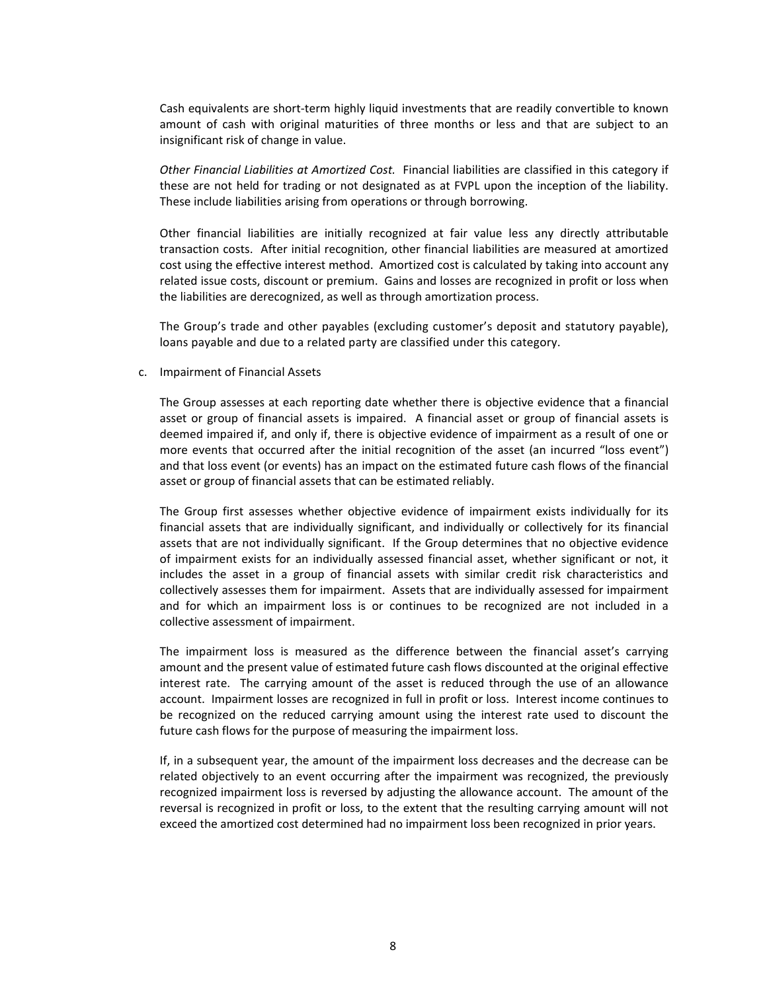Cash equivalents are short‐term highly liquid investments that are readily convertible to known amount of cash with original maturities of three months or less and that are subject to an insignificant risk of change in value.

*Other Financial Liabilities at Amortized Cost.* Financial liabilities are classified in this category if these are not held for trading or not designated as at FVPL upon the inception of the liability. These include liabilities arising from operations or through borrowing.

Other financial liabilities are initially recognized at fair value less any directly attributable transaction costs. After initial recognition, other financial liabilities are measured at amortized cost using the effective interest method. Amortized cost is calculated by taking into account any related issue costs, discount or premium. Gains and losses are recognized in profit or loss when the liabilities are derecognized, as well as through amortization process.

The Group's trade and other payables (excluding customer's deposit and statutory payable), loans payable and due to a related party are classified under this category.

c. Impairment of Financial Assets

The Group assesses at each reporting date whether there is objective evidence that a financial asset or group of financial assets is impaired. A financial asset or group of financial assets is deemed impaired if, and only if, there is objective evidence of impairment as a result of one or more events that occurred after the initial recognition of the asset (an incurred "loss event") and that loss event (or events) has an impact on the estimated future cash flows of the financial asset or group of financial assets that can be estimated reliably.

The Group first assesses whether objective evidence of impairment exists individually for its financial assets that are individually significant, and individually or collectively for its financial assets that are not individually significant. If the Group determines that no objective evidence of impairment exists for an individually assessed financial asset, whether significant or not, it includes the asset in a group of financial assets with similar credit risk characteristics and collectively assesses them for impairment. Assets that are individually assessed for impairment and for which an impairment loss is or continues to be recognized are not included in a collective assessment of impairment.

The impairment loss is measured as the difference between the financial asset's carrying amount and the present value of estimated future cash flows discounted at the original effective interest rate. The carrying amount of the asset is reduced through the use of an allowance account. Impairment losses are recognized in full in profit or loss. Interest income continues to be recognized on the reduced carrying amount using the interest rate used to discount the future cash flows for the purpose of measuring the impairment loss.

If, in a subsequent year, the amount of the impairment loss decreases and the decrease can be related objectively to an event occurring after the impairment was recognized, the previously recognized impairment loss is reversed by adjusting the allowance account. The amount of the reversal is recognized in profit or loss, to the extent that the resulting carrying amount will not exceed the amortized cost determined had no impairment loss been recognized in prior years.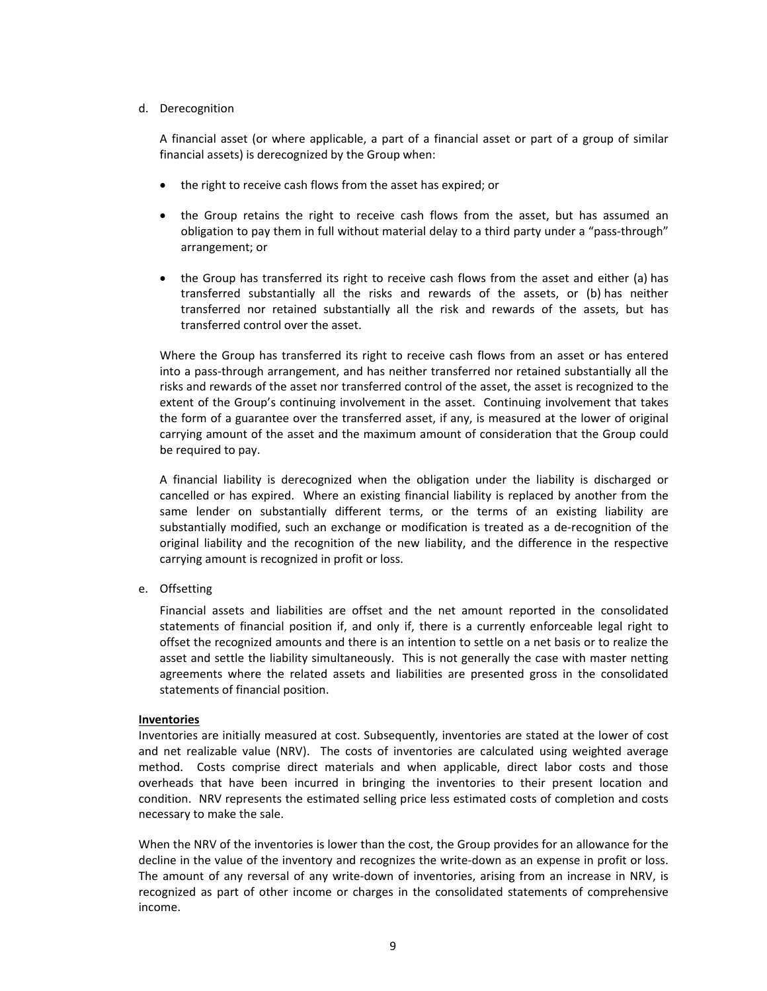# d. Derecognition

A financial asset (or where applicable, a part of a financial asset or part of a group of similar financial assets) is derecognized by the Group when:

- the right to receive cash flows from the asset has expired; or
- the Group retains the right to receive cash flows from the asset, but has assumed an obligation to pay them in full without material delay to a third party under a "pass‐through" arrangement; or
- the Group has transferred its right to receive cash flows from the asset and either (a) has transferred substantially all the risks and rewards of the assets, or (b) has neither transferred nor retained substantially all the risk and rewards of the assets, but has transferred control over the asset.

Where the Group has transferred its right to receive cash flows from an asset or has entered into a pass‐through arrangement, and has neither transferred nor retained substantially all the risks and rewards of the asset nor transferred control of the asset, the asset is recognized to the extent of the Group's continuing involvement in the asset. Continuing involvement that takes the form of a guarantee over the transferred asset, if any, is measured at the lower of original carrying amount of the asset and the maximum amount of consideration that the Group could be required to pay.

A financial liability is derecognized when the obligation under the liability is discharged or cancelled or has expired. Where an existing financial liability is replaced by another from the same lender on substantially different terms, or the terms of an existing liability are substantially modified, such an exchange or modification is treated as a de-recognition of the original liability and the recognition of the new liability, and the difference in the respective carrying amount is recognized in profit or loss.

e. Offsetting

Financial assets and liabilities are offset and the net amount reported in the consolidated statements of financial position if, and only if, there is a currently enforceable legal right to offset the recognized amounts and there is an intention to settle on a net basis or to realize the asset and settle the liability simultaneously. This is not generally the case with master netting agreements where the related assets and liabilities are presented gross in the consolidated statements of financial position.

# **Inventories**

Inventories are initially measured at cost. Subsequently, inventories are stated at the lower of cost and net realizable value (NRV). The costs of inventories are calculated using weighted average method. Costs comprise direct materials and when applicable, direct labor costs and those overheads that have been incurred in bringing the inventories to their present location and condition. NRV represents the estimated selling price less estimated costs of completion and costs necessary to make the sale.

When the NRV of the inventories is lower than the cost, the Group provides for an allowance for the decline in the value of the inventory and recognizes the write‐down as an expense in profit or loss. The amount of any reversal of any write-down of inventories, arising from an increase in NRV, is recognized as part of other income or charges in the consolidated statements of comprehensive income.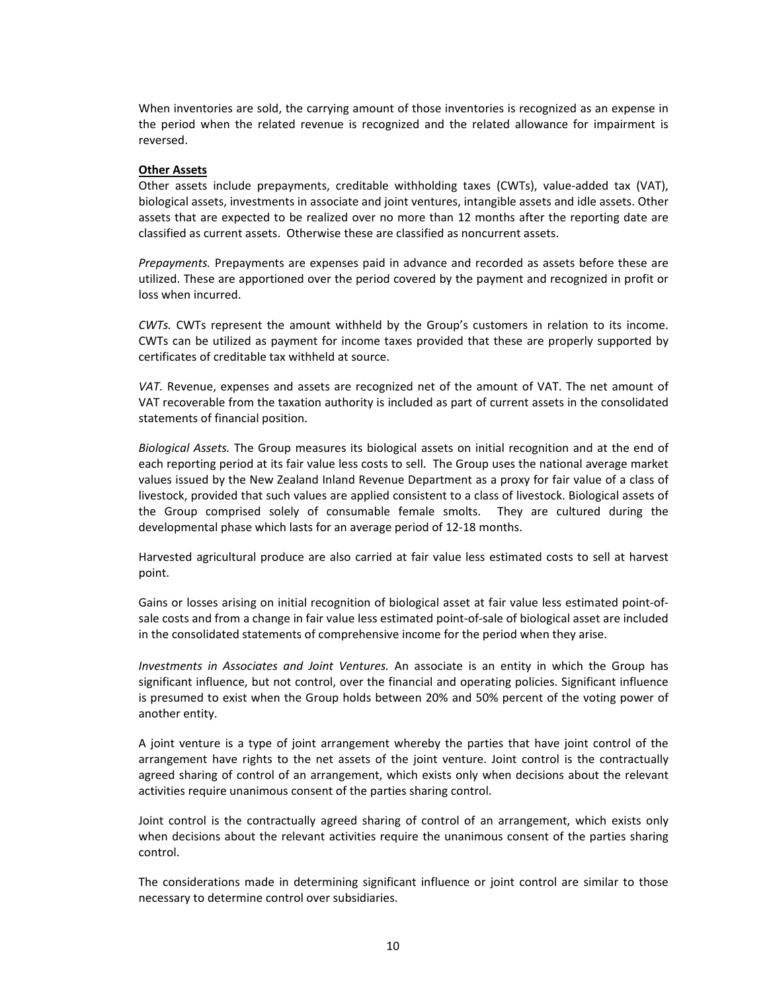When inventories are sold, the carrying amount of those inventories is recognized as an expense in the period when the related revenue is recognized and the related allowance for impairment is reversed.

#### **Other Assets**

Other assets include prepayments, creditable withholding taxes (CWTs), value‐added tax (VAT), biological assets, investments in associate and joint ventures, intangible assets and idle assets. Other assets that are expected to be realized over no more than 12 months after the reporting date are classified as current assets. Otherwise these are classified as noncurrent assets.

*Prepayments.* Prepayments are expenses paid in advance and recorded as assets before these are utilized. These are apportioned over the period covered by the payment and recognized in profit or loss when incurred.

*CWTs.*  CWTs represent the amount withheld by the Group's customers in relation to its income. CWTs can be utilized as payment for income taxes provided that these are properly supported by certificates of creditable tax withheld at source.

*VAT.* Revenue, expenses and assets are recognized net of the amount of VAT. The net amount of VAT recoverable from the taxation authority is included as part of current assets in the consolidated statements of financial position.

*Biological Assets.* The Group measures its biological assets on initial recognition and at the end of each reporting period at its fair value less costs to sell. The Group uses the national average market values issued by the New Zealand Inland Revenue Department as a proxy for fair value of a class of livestock, provided that such values are applied consistent to a class of livestock. Biological assets of the Group comprised solely of consumable female smolts. They are cultured during the developmental phase which lasts for an average period of 12‐18 months.

Harvested agricultural produce are also carried at fair value less estimated costs to sell at harvest point.

Gains or losses arising on initial recognition of biological asset at fair value less estimated point‐of‐ sale costs and from a change in fair value less estimated point-of-sale of biological asset are included in the consolidated statements of comprehensive income for the period when they arise.

*Investments in Associates and Joint Ventures.*  An associate is an entity in which the Group has significant influence, but not control, over the financial and operating policies. Significant influence is presumed to exist when the Group holds between 20% and 50% percent of the voting power of another entity.

A joint venture is a type of joint arrangement whereby the parties that have joint control of the arrangement have rights to the net assets of the joint venture. Joint control is the contractually agreed sharing of control of an arrangement, which exists only when decisions about the relevant activities require unanimous consent of the parties sharing control.

Joint control is the contractually agreed sharing of control of an arrangement, which exists only when decisions about the relevant activities require the unanimous consent of the parties sharing control.

The considerations made in determining significant influence or joint control are similar to those necessary to determine control over subsidiaries.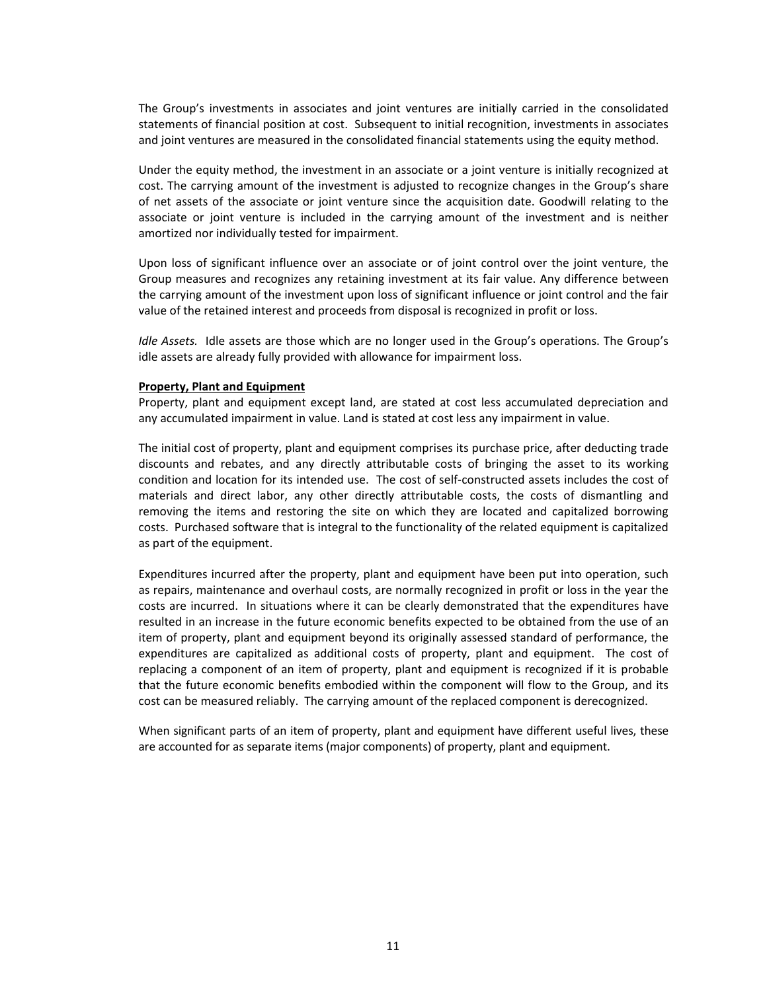The Group's investments in associates and joint ventures are initially carried in the consolidated statements of financial position at cost. Subsequent to initial recognition, investments in associates and joint ventures are measured in the consolidated financial statements using the equity method.

Under the equity method, the investment in an associate or a joint venture is initially recognized at cost. The carrying amount of the investment is adjusted to recognize changes in the Group's share of net assets of the associate or joint venture since the acquisition date. Goodwill relating to the associate or joint venture is included in the carrying amount of the investment and is neither amortized nor individually tested for impairment.

Upon loss of significant influence over an associate or of joint control over the joint venture, the Group measures and recognizes any retaining investment at its fair value. Any difference between the carrying amount of the investment upon loss of significant influence or joint control and the fair value of the retained interest and proceeds from disposal is recognized in profit or loss.

*Idle Assets.* Idle assets are those which are no longer used in the Group's operations. The Group's idle assets are already fully provided with allowance for impairment loss.

#### **Property, Plant and Equipment**

Property, plant and equipment except land, are stated at cost less accumulated depreciation and any accumulated impairment in value. Land is stated at cost less any impairment in value.

The initial cost of property, plant and equipment comprises its purchase price, after deducting trade discounts and rebates, and any directly attributable costs of bringing the asset to its working condition and location for its intended use. The cost of self‐constructed assets includes the cost of materials and direct labor, any other directly attributable costs, the costs of dismantling and removing the items and restoring the site on which they are located and capitalized borrowing costs. Purchased software that is integral to the functionality of the related equipment is capitalized as part of the equipment.

Expenditures incurred after the property, plant and equipment have been put into operation, such as repairs, maintenance and overhaul costs, are normally recognized in profit or loss in the year the costs are incurred. In situations where it can be clearly demonstrated that the expenditures have resulted in an increase in the future economic benefits expected to be obtained from the use of an item of property, plant and equipment beyond its originally assessed standard of performance, the expenditures are capitalized as additional costs of property, plant and equipment. The cost of replacing a component of an item of property, plant and equipment is recognized if it is probable that the future economic benefits embodied within the component will flow to the Group, and its cost can be measured reliably. The carrying amount of the replaced component is derecognized.

When significant parts of an item of property, plant and equipment have different useful lives, these are accounted for as separate items (major components) of property, plant and equipment.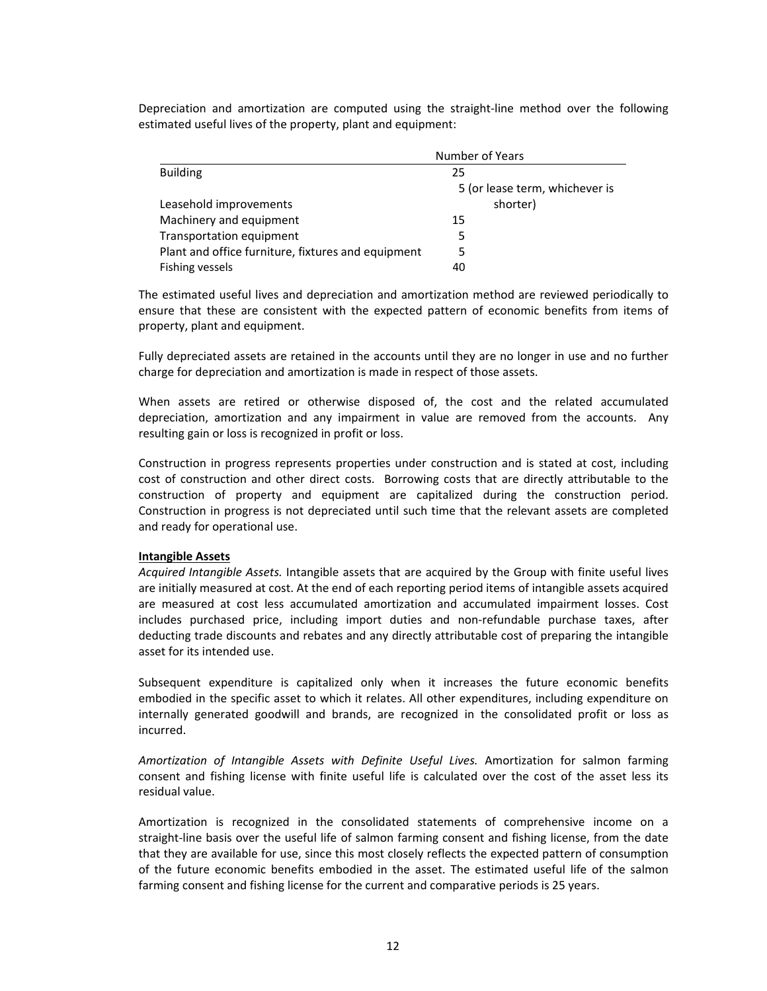Depreciation and amortization are computed using the straight‐line method over the following estimated useful lives of the property, plant and equipment:

|                                                    | Number of Years                |  |  |
|----------------------------------------------------|--------------------------------|--|--|
| <b>Building</b>                                    | 25                             |  |  |
|                                                    | 5 (or lease term, whichever is |  |  |
| Leasehold improvements                             | shorter)                       |  |  |
| Machinery and equipment                            | 15                             |  |  |
| Transportation equipment                           | 5                              |  |  |
| Plant and office furniture, fixtures and equipment | 5                              |  |  |
| Fishing vessels                                    | 40                             |  |  |

The estimated useful lives and depreciation and amortization method are reviewed periodically to ensure that these are consistent with the expected pattern of economic benefits from items of property, plant and equipment.

Fully depreciated assets are retained in the accounts until they are no longer in use and no further charge for depreciation and amortization is made in respect of those assets.

When assets are retired or otherwise disposed of, the cost and the related accumulated depreciation, amortization and any impairment in value are removed from the accounts. Any resulting gain or loss is recognized in profit or loss.

Construction in progress represents properties under construction and is stated at cost, including cost of construction and other direct costs. Borrowing costs that are directly attributable to the construction of property and equipment are capitalized during the construction period. Construction in progress is not depreciated until such time that the relevant assets are completed and ready for operational use.

#### **Intangible Assets**

*Acquired Intangible Assets.* Intangible assets that are acquired by the Group with finite useful lives are initially measured at cost. At the end of each reporting period items of intangible assets acquired are measured at cost less accumulated amortization and accumulated impairment losses. Cost includes purchased price, including import duties and non-refundable purchase taxes, after deducting trade discounts and rebates and any directly attributable cost of preparing the intangible asset for its intended use.

Subsequent expenditure is capitalized only when it increases the future economic benefits embodied in the specific asset to which it relates. All other expenditures, including expenditure on internally generated goodwill and brands, are recognized in the consolidated profit or loss as incurred.

Amortization of Intangible Assets with Definite Useful Lives. Amortization for salmon farming consent and fishing license with finite useful life is calculated over the cost of the asset less its residual value.

Amortization is recognized in the consolidated statements of comprehensive income on a straight-line basis over the useful life of salmon farming consent and fishing license, from the date that they are available for use, since this most closely reflects the expected pattern of consumption of the future economic benefits embodied in the asset. The estimated useful life of the salmon farming consent and fishing license for the current and comparative periods is 25 years.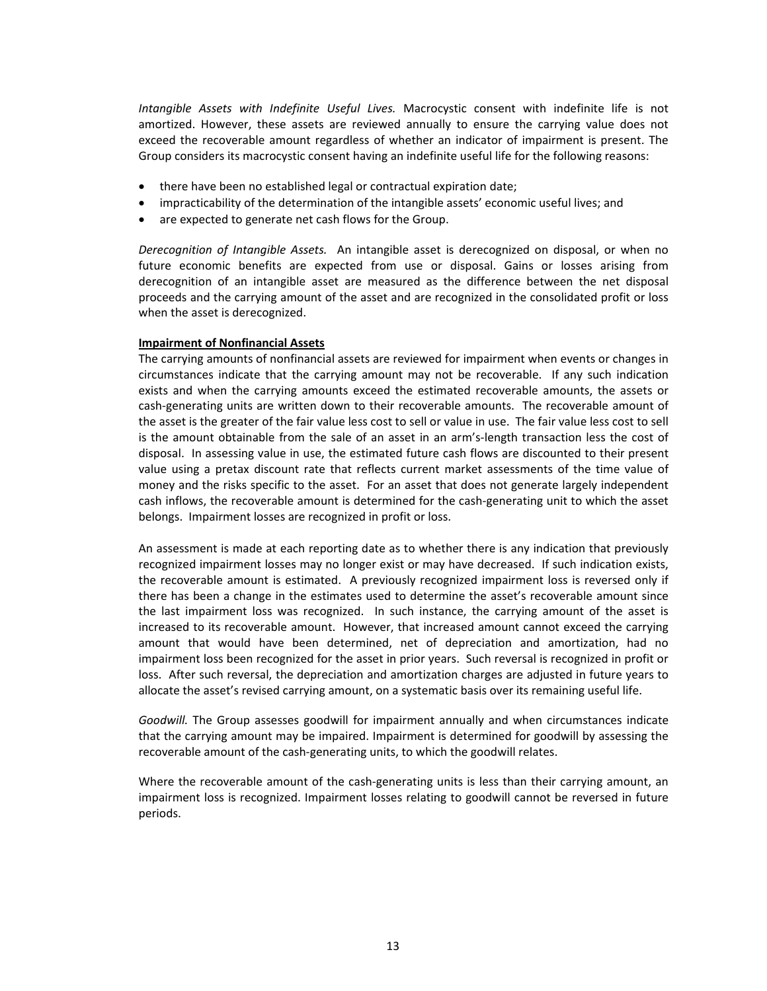*Intangible Assets with Indefinite Useful Lives.*  Macrocystic consent with indefinite life is not amortized. However, these assets are reviewed annually to ensure the carrying value does not exceed the recoverable amount regardless of whether an indicator of impairment is present. The Group considers its macrocystic consent having an indefinite useful life for the following reasons:

- there have been no established legal or contractual expiration date;
- impracticability of the determination of the intangible assets' economic useful lives; and
- are expected to generate net cash flows for the Group.

*Derecognition of Intangible Assets.*  An intangible asset is derecognized on disposal, or when no future economic benefits are expected from use or disposal. Gains or losses arising from derecognition of an intangible asset are measured as the difference between the net disposal proceeds and the carrying amount of the asset and are recognized in the consolidated profit or loss when the asset is derecognized.

#### **Impairment of Nonfinancial Assets**

The carrying amounts of nonfinancial assets are reviewed for impairment when events or changes in circumstances indicate that the carrying amount may not be recoverable. If any such indication exists and when the carrying amounts exceed the estimated recoverable amounts, the assets or cash‐generating units are written down to their recoverable amounts. The recoverable amount of the asset is the greater of the fair value less cost to sell or value in use. The fair value less cost to sell is the amount obtainable from the sale of an asset in an arm's-length transaction less the cost of disposal. In assessing value in use, the estimated future cash flows are discounted to their present value using a pretax discount rate that reflects current market assessments of the time value of money and the risks specific to the asset. For an asset that does not generate largely independent cash inflows, the recoverable amount is determined for the cash‐generating unit to which the asset belongs. Impairment losses are recognized in profit or loss.

An assessment is made at each reporting date as to whether there is any indication that previously recognized impairment losses may no longer exist or may have decreased. If such indication exists, the recoverable amount is estimated. A previously recognized impairment loss is reversed only if there has been a change in the estimates used to determine the asset's recoverable amount since the last impairment loss was recognized. In such instance, the carrying amount of the asset is increased to its recoverable amount. However, that increased amount cannot exceed the carrying amount that would have been determined, net of depreciation and amortization, had no impairment loss been recognized for the asset in prior years. Such reversal is recognized in profit or loss. After such reversal, the depreciation and amortization charges are adjusted in future years to allocate the asset's revised carrying amount, on a systematic basis over its remaining useful life.

Goodwill. The Group assesses goodwill for impairment annually and when circumstances indicate that the carrying amount may be impaired. Impairment is determined for goodwill by assessing the recoverable amount of the cash‐generating units, to which the goodwill relates.

Where the recoverable amount of the cash-generating units is less than their carrying amount, an impairment loss is recognized. Impairment losses relating to goodwill cannot be reversed in future periods.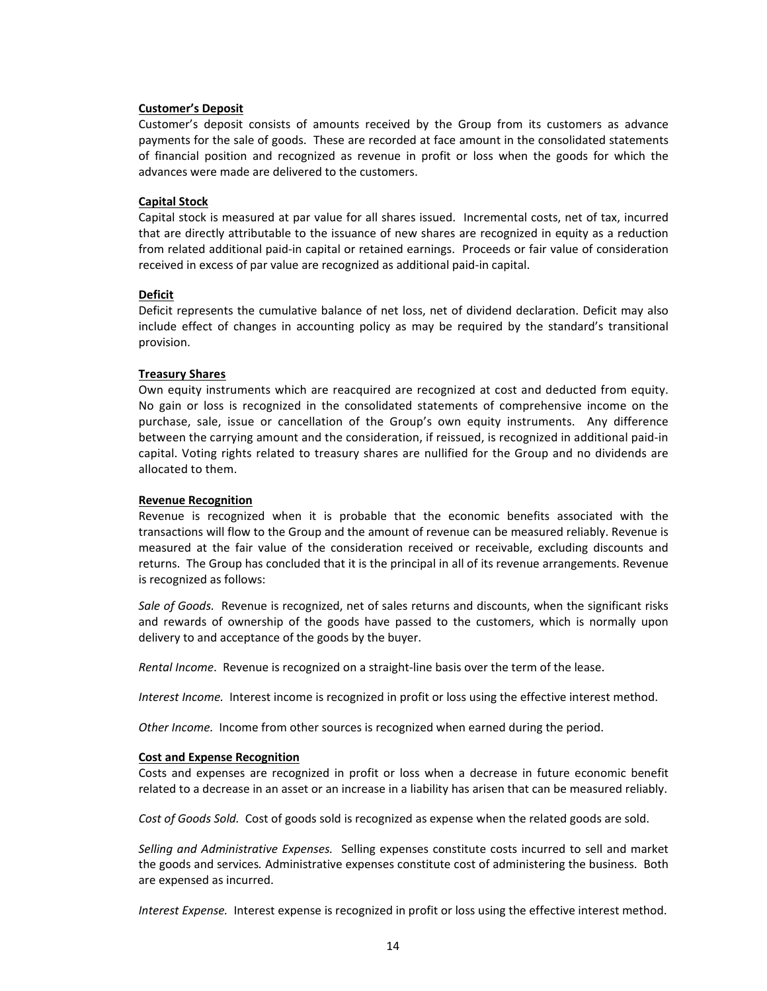# **Customer's Deposit**

Customer's deposit consists of amounts received by the Group from its customers as advance payments for the sale of goods. These are recorded at face amount in the consolidated statements of financial position and recognized as revenue in profit or loss when the goods for which the advances were made are delivered to the customers.

# **Capital Stock**

Capital stock is measured at par value for all shares issued. Incremental costs, net of tax, incurred that are directly attributable to the issuance of new shares are recognized in equity as a reduction from related additional paid‐in capital or retained earnings. Proceeds or fair value of consideration received in excess of par value are recognized as additional paid‐in capital.

#### **Deficit**

Deficit represents the cumulative balance of net loss, net of dividend declaration. Deficit may also include effect of changes in accounting policy as may be required by the standard's transitional provision.

# **Treasury Shares**

Own equity instruments which are reacquired are recognized at cost and deducted from equity. No gain or loss is recognized in the consolidated statements of comprehensive income on the purchase, sale, issue or cancellation of the Group's own equity instruments. Any difference between the carrying amount and the consideration, if reissued, is recognized in additional paid‐in capital. Voting rights related to treasury shares are nullified for the Group and no dividends are allocated to them.

#### **Revenue Recognition**

Revenue is recognized when it is probable that the economic benefits associated with the transactions will flow to the Group and the amount of revenue can be measured reliably. Revenue is measured at the fair value of the consideration received or receivable, excluding discounts and returns. The Group has concluded that it is the principal in all of its revenue arrangements. Revenue is recognized as follows:

Sale of Goods. Revenue is recognized, net of sales returns and discounts, when the significant risks and rewards of ownership of the goods have passed to the customers, which is normally upon delivery to and acceptance of the goods by the buyer.

*Rental Income*. Revenue is recognized on a straight‐line basis over the term of the lease.

*Interest Income.* Interest income is recognized in profit or loss using the effective interest method.

*Other Income.*  Income from other sources is recognized when earned during the period.

# **Cost and Expense Recognition**

Costs and expenses are recognized in profit or loss when a decrease in future economic benefit related to a decrease in an asset or an increase in a liability has arisen that can be measured reliably.

*Cost of Goods Sold.* Cost of goods sold is recognized as expense when the related goods are sold.

*Selling and Administrative Expenses.* Selling expenses constitute costs incurred to sell and market the goods and services*.* Administrative expenses constitute cost of administering the business. Both are expensed as incurred.

*Interest Expense.* Interest expense is recognized in profit or loss using the effective interest method.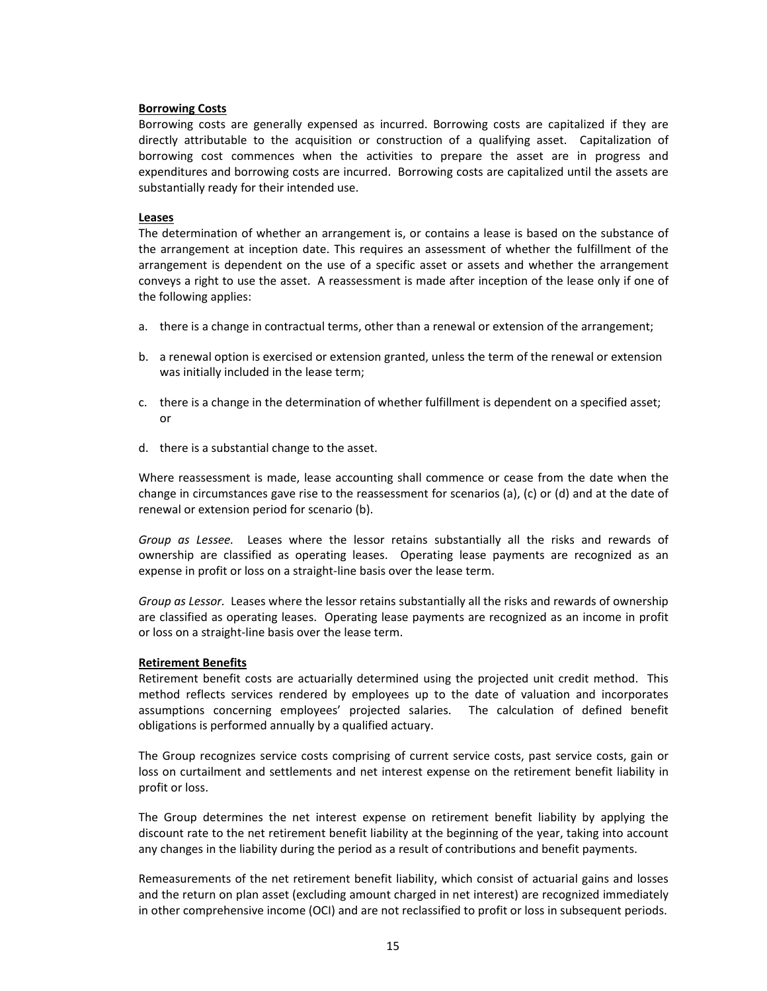# **Borrowing Costs**

Borrowing costs are generally expensed as incurred. Borrowing costs are capitalized if they are directly attributable to the acquisition or construction of a qualifying asset. Capitalization of borrowing cost commences when the activities to prepare the asset are in progress and expenditures and borrowing costs are incurred. Borrowing costs are capitalized until the assets are substantially ready for their intended use.

#### **Leases**

The determination of whether an arrangement is, or contains a lease is based on the substance of the arrangement at inception date. This requires an assessment of whether the fulfillment of the arrangement is dependent on the use of a specific asset or assets and whether the arrangement conveys a right to use the asset. A reassessment is made after inception of the lease only if one of the following applies:

- a. there is a change in contractual terms, other than a renewal or extension of the arrangement;
- b. a renewal option is exercised or extension granted, unless the term of the renewal or extension was initially included in the lease term;
- c. there is a change in the determination of whether fulfillment is dependent on a specified asset; or
- d. there is a substantial change to the asset.

Where reassessment is made, lease accounting shall commence or cease from the date when the change in circumstances gave rise to the reassessment for scenarios (a), (c) or (d) and at the date of renewal or extension period for scenario (b).

*Group as Lessee.* Leases where the lessor retains substantially all the risks and rewards of ownership are classified as operating leases. Operating lease payments are recognized as an expense in profit or loss on a straight‐line basis over the lease term.

*Group as Lessor.* Leases where the lessor retains substantially all the risks and rewards of ownership are classified as operating leases. Operating lease payments are recognized as an income in profit or loss on a straight‐line basis over the lease term.

# **Retirement Benefits**

Retirement benefit costs are actuarially determined using the projected unit credit method. This method reflects services rendered by employees up to the date of valuation and incorporates assumptions concerning employees' projected salaries. The calculation of defined benefit obligations is performed annually by a qualified actuary.

The Group recognizes service costs comprising of current service costs, past service costs, gain or loss on curtailment and settlements and net interest expense on the retirement benefit liability in profit or loss.

The Group determines the net interest expense on retirement benefit liability by applying the discount rate to the net retirement benefit liability at the beginning of the year, taking into account any changes in the liability during the period as a result of contributions and benefit payments.

Remeasurements of the net retirement benefit liability, which consist of actuarial gains and losses and the return on plan asset (excluding amount charged in net interest) are recognized immediately in other comprehensive income (OCI) and are not reclassified to profit or loss in subsequent periods.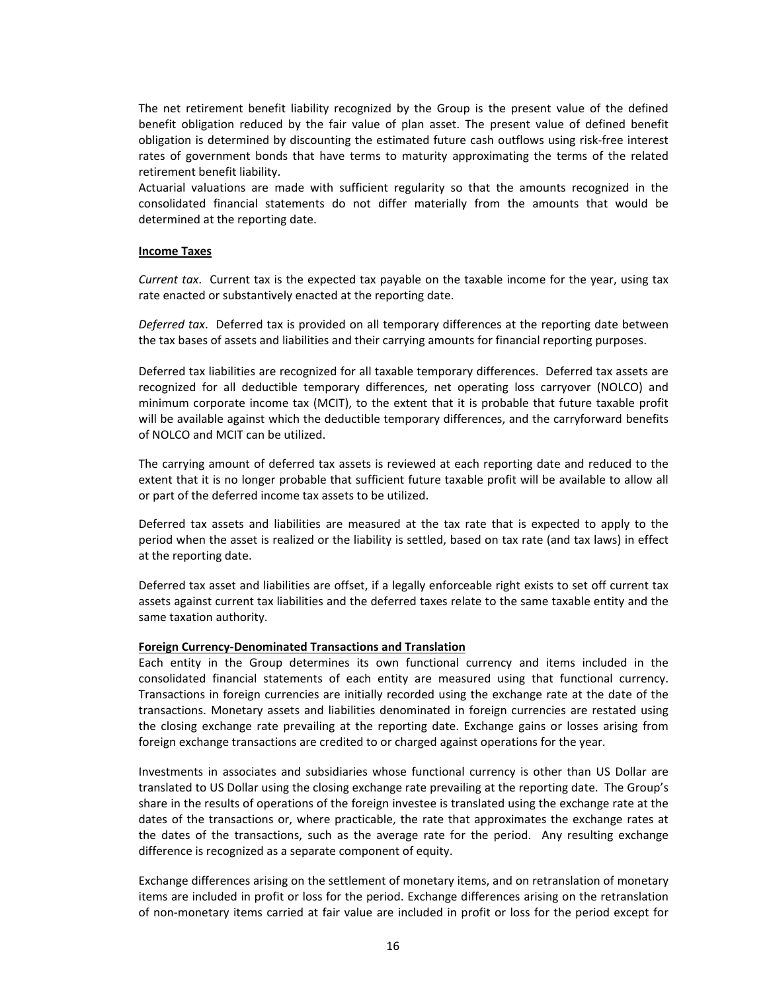The net retirement benefit liability recognized by the Group is the present value of the defined benefit obligation reduced by the fair value of plan asset. The present value of defined benefit obligation is determined by discounting the estimated future cash outflows using risk‐free interest rates of government bonds that have terms to maturity approximating the terms of the related retirement benefit liability.

Actuarial valuations are made with sufficient regularity so that the amounts recognized in the consolidated financial statements do not differ materially from the amounts that would be determined at the reporting date.

# **Income Taxes**

*Current tax*. Current tax is the expected tax payable on the taxable income for the year, using tax rate enacted or substantively enacted at the reporting date.

*Deferred tax*. Deferred tax is provided on all temporary differences at the reporting date between the tax bases of assets and liabilities and their carrying amounts for financial reporting purposes.

Deferred tax liabilities are recognized for all taxable temporary differences. Deferred tax assets are recognized for all deductible temporary differences, net operating loss carryover (NOLCO) and minimum corporate income tax (MCIT), to the extent that it is probable that future taxable profit will be available against which the deductible temporary differences, and the carryforward benefits of NOLCO and MCIT can be utilized.

The carrying amount of deferred tax assets is reviewed at each reporting date and reduced to the extent that it is no longer probable that sufficient future taxable profit will be available to allow all or part of the deferred income tax assets to be utilized.

Deferred tax assets and liabilities are measured at the tax rate that is expected to apply to the period when the asset is realized or the liability is settled, based on tax rate (and tax laws) in effect at the reporting date.

Deferred tax asset and liabilities are offset, if a legally enforceable right exists to set off current tax assets against current tax liabilities and the deferred taxes relate to the same taxable entity and the same taxation authority.

#### **Foreign Currency‐Denominated Transactions and Translation**

Each entity in the Group determines its own functional currency and items included in the consolidated financial statements of each entity are measured using that functional currency. Transactions in foreign currencies are initially recorded using the exchange rate at the date of the transactions. Monetary assets and liabilities denominated in foreign currencies are restated using the closing exchange rate prevailing at the reporting date. Exchange gains or losses arising from foreign exchange transactions are credited to or charged against operations for the year.

Investments in associates and subsidiaries whose functional currency is other than US Dollar are translated to US Dollar using the closing exchange rate prevailing at the reporting date. The Group's share in the results of operations of the foreign investee is translated using the exchange rate at the dates of the transactions or, where practicable, the rate that approximates the exchange rates at the dates of the transactions, such as the average rate for the period. Any resulting exchange difference is recognized as a separate component of equity.

Exchange differences arising on the settlement of monetary items, and on retranslation of monetary items are included in profit or loss for the period. Exchange differences arising on the retranslation of non‐monetary items carried at fair value are included in profit or loss for the period except for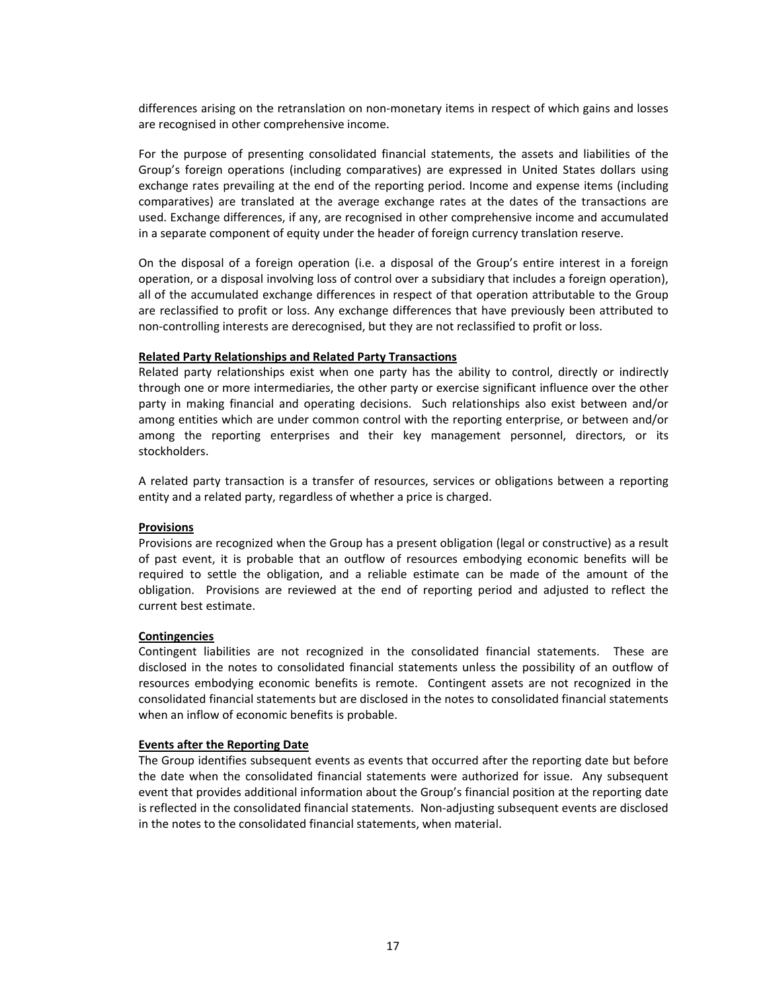differences arising on the retranslation on non‐monetary items in respect of which gains and losses are recognised in other comprehensive income.

For the purpose of presenting consolidated financial statements, the assets and liabilities of the Group's foreign operations (including comparatives) are expressed in United States dollars using exchange rates prevailing at the end of the reporting period. Income and expense items (including comparatives) are translated at the average exchange rates at the dates of the transactions are used. Exchange differences, if any, are recognised in other comprehensive income and accumulated in a separate component of equity under the header of foreign currency translation reserve.

On the disposal of a foreign operation (i.e. a disposal of the Group's entire interest in a foreign operation, or a disposal involving loss of control over a subsidiary that includes a foreign operation), all of the accumulated exchange differences in respect of that operation attributable to the Group are reclassified to profit or loss. Any exchange differences that have previously been attributed to non‐controlling interests are derecognised, but they are not reclassified to profit or loss.

#### **Related Party Relationships and Related Party Transactions**

Related party relationships exist when one party has the ability to control, directly or indirectly through one or more intermediaries, the other party or exercise significant influence over the other party in making financial and operating decisions. Such relationships also exist between and/or among entities which are under common control with the reporting enterprise, or between and/or among the reporting enterprises and their key management personnel, directors, or its stockholders.

A related party transaction is a transfer of resources, services or obligations between a reporting entity and a related party, regardless of whether a price is charged.

#### **Provisions**

Provisions are recognized when the Group has a present obligation (legal or constructive) as a result of past event, it is probable that an outflow of resources embodying economic benefits will be required to settle the obligation, and a reliable estimate can be made of the amount of the obligation. Provisions are reviewed at the end of reporting period and adjusted to reflect the current best estimate.

#### **Contingencies**

Contingent liabilities are not recognized in the consolidated financial statements. These are disclosed in the notes to consolidated financial statements unless the possibility of an outflow of resources embodying economic benefits is remote. Contingent assets are not recognized in the consolidated financial statements but are disclosed in the notes to consolidated financial statements when an inflow of economic benefits is probable.

#### **Events after the Reporting Date**

The Group identifies subsequent events as events that occurred after the reporting date but before the date when the consolidated financial statements were authorized for issue. Any subsequent event that provides additional information about the Group's financial position at the reporting date is reflected in the consolidated financial statements. Non‐adjusting subsequent events are disclosed in the notes to the consolidated financial statements, when material.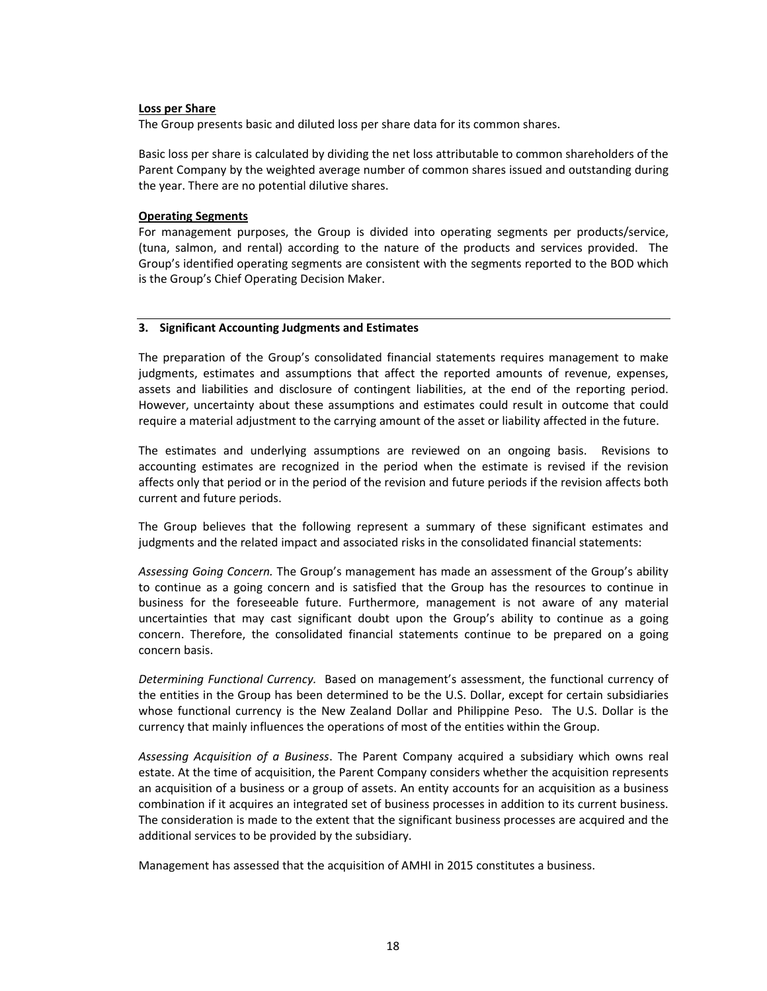#### **Loss per Share**

The Group presents basic and diluted loss per share data for its common shares.

Basic loss per share is calculated by dividing the net loss attributable to common shareholders of the Parent Company by the weighted average number of common shares issued and outstanding during the year. There are no potential dilutive shares.

# **Operating Segments**

For management purposes, the Group is divided into operating segments per products/service, (tuna, salmon, and rental) according to the nature of the products and services provided. The Group's identified operating segments are consistent with the segments reported to the BOD which is the Group's Chief Operating Decision Maker.

# **3. Significant Accounting Judgments and Estimates**

The preparation of the Group's consolidated financial statements requires management to make judgments, estimates and assumptions that affect the reported amounts of revenue, expenses, assets and liabilities and disclosure of contingent liabilities, at the end of the reporting period. However, uncertainty about these assumptions and estimates could result in outcome that could require a material adjustment to the carrying amount of the asset or liability affected in the future.

The estimates and underlying assumptions are reviewed on an ongoing basis. Revisions to accounting estimates are recognized in the period when the estimate is revised if the revision affects only that period or in the period of the revision and future periods if the revision affects both current and future periods.

The Group believes that the following represent a summary of these significant estimates and judgments and the related impact and associated risks in the consolidated financial statements:

*Assessing Going Concern.* The Group's management has made an assessment of the Group's ability to continue as a going concern and is satisfied that the Group has the resources to continue in business for the foreseeable future. Furthermore, management is not aware of any material uncertainties that may cast significant doubt upon the Group's ability to continue as a going concern. Therefore, the consolidated financial statements continue to be prepared on a going concern basis.

*Determining Functional Currency.* Based on management's assessment, the functional currency of the entities in the Group has been determined to be the U.S. Dollar, except for certain subsidiaries whose functional currency is the New Zealand Dollar and Philippine Peso. The U.S. Dollar is the currency that mainly influences the operations of most of the entities within the Group.

*Assessing Acquisition of a Business*. The Parent Company acquired a subsidiary which owns real estate. At the time of acquisition, the Parent Company considers whether the acquisition represents an acquisition of a business or a group of assets. An entity accounts for an acquisition as a business combination if it acquires an integrated set of business processes in addition to its current business. The consideration is made to the extent that the significant business processes are acquired and the additional services to be provided by the subsidiary.

Management has assessed that the acquisition of AMHI in 2015 constitutes a business.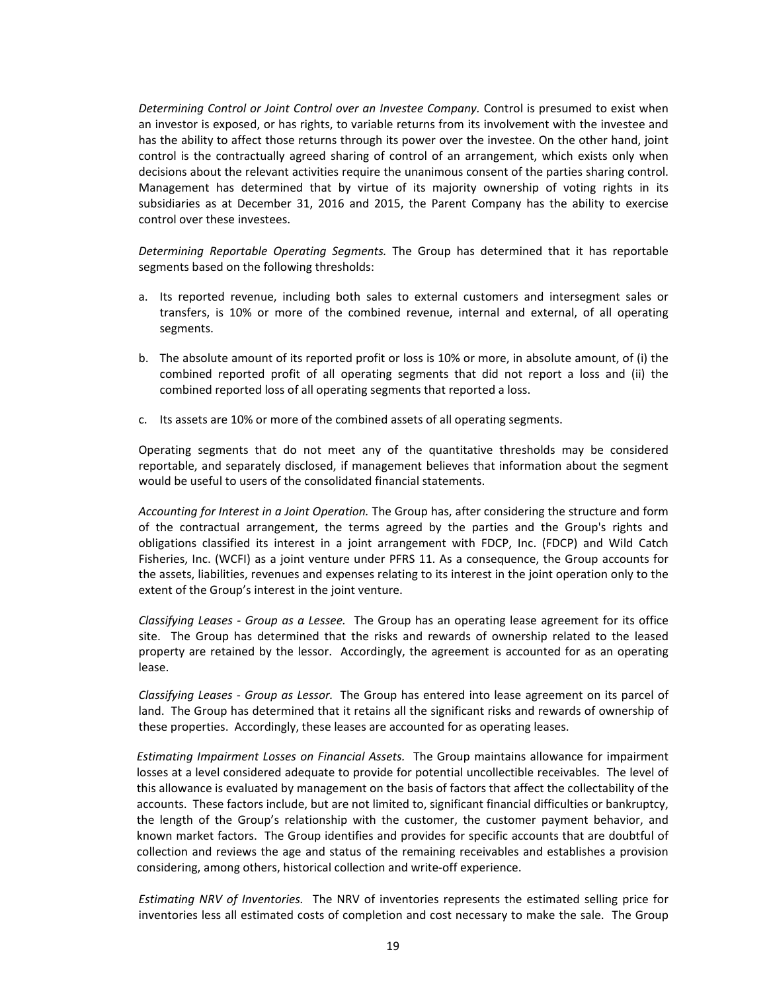*Determining Control or Joint Control over an Investee Company.* Control is presumed to exist when an investor is exposed, or has rights, to variable returns from its involvement with the investee and has the ability to affect those returns through its power over the investee. On the other hand, joint control is the contractually agreed sharing of control of an arrangement, which exists only when decisions about the relevant activities require the unanimous consent of the parties sharing control. Management has determined that by virtue of its majority ownership of voting rights in its subsidiaries as at December 31, 2016 and 2015, the Parent Company has the ability to exercise control over these investees.

*Determining Reportable Operating Segments.*  The Group has determined that it has reportable segments based on the following thresholds:

- a. Its reported revenue, including both sales to external customers and intersegment sales or transfers, is 10% or more of the combined revenue, internal and external, of all operating segments.
- b. The absolute amount of its reported profit or loss is 10% or more, in absolute amount, of (i) the combined reported profit of all operating segments that did not report a loss and (ii) the combined reported loss of all operating segments that reported a loss.
- c. Its assets are 10% or more of the combined assets of all operating segments.

Operating segments that do not meet any of the quantitative thresholds may be considered reportable, and separately disclosed, if management believes that information about the segment would be useful to users of the consolidated financial statements.

*Accounting for Interest in a Joint Operation.* The Group has, after considering the structure and form of the contractual arrangement, the terms agreed by the parties and the Group's rights and obligations classified its interest in a joint arrangement with FDCP, Inc. (FDCP) and Wild Catch Fisheries, Inc. (WCFI) as a joint venture under PFRS 11. As a consequence, the Group accounts for the assets, liabilities, revenues and expenses relating to its interest in the joint operation only to the extent of the Group's interest in the joint venture.

*Classifying Leases ‐ Group as a Lessee.* The Group has an operating lease agreement for its office site. The Group has determined that the risks and rewards of ownership related to the leased property are retained by the lessor. Accordingly, the agreement is accounted for as an operating lease.

*Classifying Leases ‐ Group as Lessor.* The Group has entered into lease agreement on its parcel of land. The Group has determined that it retains all the significant risks and rewards of ownership of these properties. Accordingly, these leases are accounted for as operating leases.

*Estimating Impairment Losses on Financial Assets.* The Group maintains allowance for impairment losses at a level considered adequate to provide for potential uncollectible receivables. The level of this allowance is evaluated by management on the basis of factors that affect the collectability of the accounts. These factors include, but are not limited to, significant financial difficulties or bankruptcy, the length of the Group's relationship with the customer, the customer payment behavior, and known market factors. The Group identifies and provides for specific accounts that are doubtful of collection and reviews the age and status of the remaining receivables and establishes a provision considering, among others, historical collection and write‐off experience.

*Estimating NRV of Inventories.* The NRV of inventories represents the estimated selling price for inventories less all estimated costs of completion and cost necessary to make the sale. The Group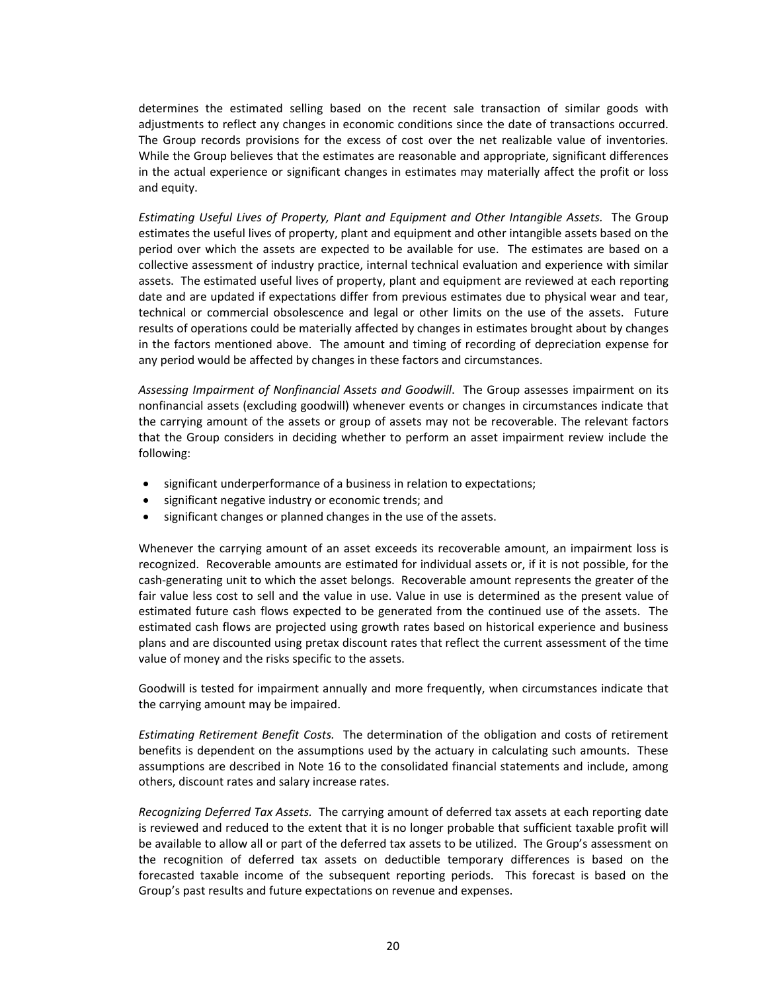determines the estimated selling based on the recent sale transaction of similar goods with adjustments to reflect any changes in economic conditions since the date of transactions occurred. The Group records provisions for the excess of cost over the net realizable value of inventories. While the Group believes that the estimates are reasonable and appropriate, significant differences in the actual experience or significant changes in estimates may materially affect the profit or loss and equity.

*Estimating Useful Lives of Property, Plant and Equipment and Other Intangible Assets.* The Group estimates the useful lives of property, plant and equipment and other intangible assets based on the period over which the assets are expected to be available for use. The estimates are based on a collective assessment of industry practice, internal technical evaluation and experience with similar assets. The estimated useful lives of property, plant and equipment are reviewed at each reporting date and are updated if expectations differ from previous estimates due to physical wear and tear, technical or commercial obsolescence and legal or other limits on the use of the assets. Future results of operations could be materially affected by changes in estimates brought about by changes in the factors mentioned above. The amount and timing of recording of depreciation expense for any period would be affected by changes in these factors and circumstances.

*Assessing Impairment of Nonfinancial Assets and Goodwill*. The Group assesses impairment on its nonfinancial assets (excluding goodwill) whenever events or changes in circumstances indicate that the carrying amount of the assets or group of assets may not be recoverable. The relevant factors that the Group considers in deciding whether to perform an asset impairment review include the following:

- significant underperformance of a business in relation to expectations;
- significant negative industry or economic trends; and
- significant changes or planned changes in the use of the assets.

Whenever the carrying amount of an asset exceeds its recoverable amount, an impairment loss is recognized. Recoverable amounts are estimated for individual assets or, if it is not possible, for the cash‐generating unit to which the asset belongs. Recoverable amount represents the greater of the fair value less cost to sell and the value in use. Value in use is determined as the present value of estimated future cash flows expected to be generated from the continued use of the assets. The estimated cash flows are projected using growth rates based on historical experience and business plans and are discounted using pretax discount rates that reflect the current assessment of the time value of money and the risks specific to the assets.

Goodwill is tested for impairment annually and more frequently, when circumstances indicate that the carrying amount may be impaired.

*Estimating Retirement Benefit Costs.* The determination of the obligation and costs of retirement benefits is dependent on the assumptions used by the actuary in calculating such amounts. These assumptions are described in Note 16 to the consolidated financial statements and include, among others, discount rates and salary increase rates.

*Recognizing Deferred Tax Assets.* The carrying amount of deferred tax assets at each reporting date is reviewed and reduced to the extent that it is no longer probable that sufficient taxable profit will be available to allow all or part of the deferred tax assets to be utilized. The Group's assessment on the recognition of deferred tax assets on deductible temporary differences is based on the forecasted taxable income of the subsequent reporting periods. This forecast is based on the Group's past results and future expectations on revenue and expenses.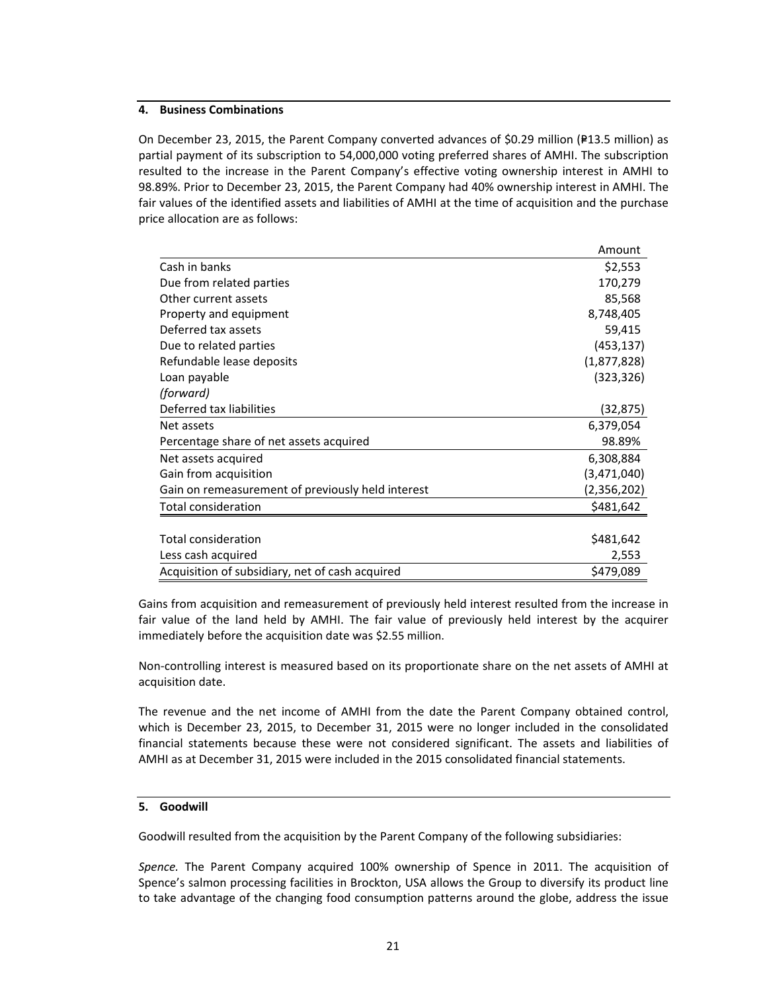# **4. Business Combinations**

On December 23, 2015, the Parent Company converted advances of \$0.29 million (P13.5 million) as partial payment of its subscription to 54,000,000 voting preferred shares of AMHI. The subscription resulted to the increase in the Parent Company's effective voting ownership interest in AMHI to 98.89%. Prior to December 23, 2015, the Parent Company had 40% ownership interest in AMHI. The fair values of the identified assets and liabilities of AMHI at the time of acquisition and the purchase price allocation are as follows:

|                                                   | Amount      |
|---------------------------------------------------|-------------|
| Cash in banks                                     | \$2,553     |
| Due from related parties                          | 170,279     |
| Other current assets                              | 85,568      |
| Property and equipment                            | 8,748,405   |
| Deferred tax assets                               | 59,415      |
| Due to related parties                            | (453, 137)  |
| Refundable lease deposits                         | (1,877,828) |
| Loan payable                                      | (323, 326)  |
| (forward)                                         |             |
| Deferred tax liabilities                          | (32,875)    |
| Net assets                                        | 6,379,054   |
| Percentage share of net assets acquired           | 98.89%      |
| Net assets acquired                               | 6,308,884   |
| Gain from acquisition                             | (3,471,040) |
| Gain on remeasurement of previously held interest | (2,356,202) |
| <b>Total consideration</b>                        | \$481,642   |
| <b>Total consideration</b>                        |             |
|                                                   | \$481,642   |
| Less cash acquired                                | 2,553       |
| Acquisition of subsidiary, net of cash acquired   | \$479,089   |

Gains from acquisition and remeasurement of previously held interest resulted from the increase in fair value of the land held by AMHI. The fair value of previously held interest by the acquirer immediately before the acquisition date was \$2.55 million.

Non‐controlling interest is measured based on its proportionate share on the net assets of AMHI at acquisition date.

The revenue and the net income of AMHI from the date the Parent Company obtained control, which is December 23, 2015, to December 31, 2015 were no longer included in the consolidated financial statements because these were not considered significant. The assets and liabilities of AMHI as at December 31, 2015 were included in the 2015 consolidated financial statements.

# **5. Goodwill**

Goodwill resulted from the acquisition by the Parent Company of the following subsidiaries:

*Spence.*  The Parent Company acquired 100% ownership of Spence in 2011. The acquisition of Spence's salmon processing facilities in Brockton, USA allows the Group to diversify its product line to take advantage of the changing food consumption patterns around the globe, address the issue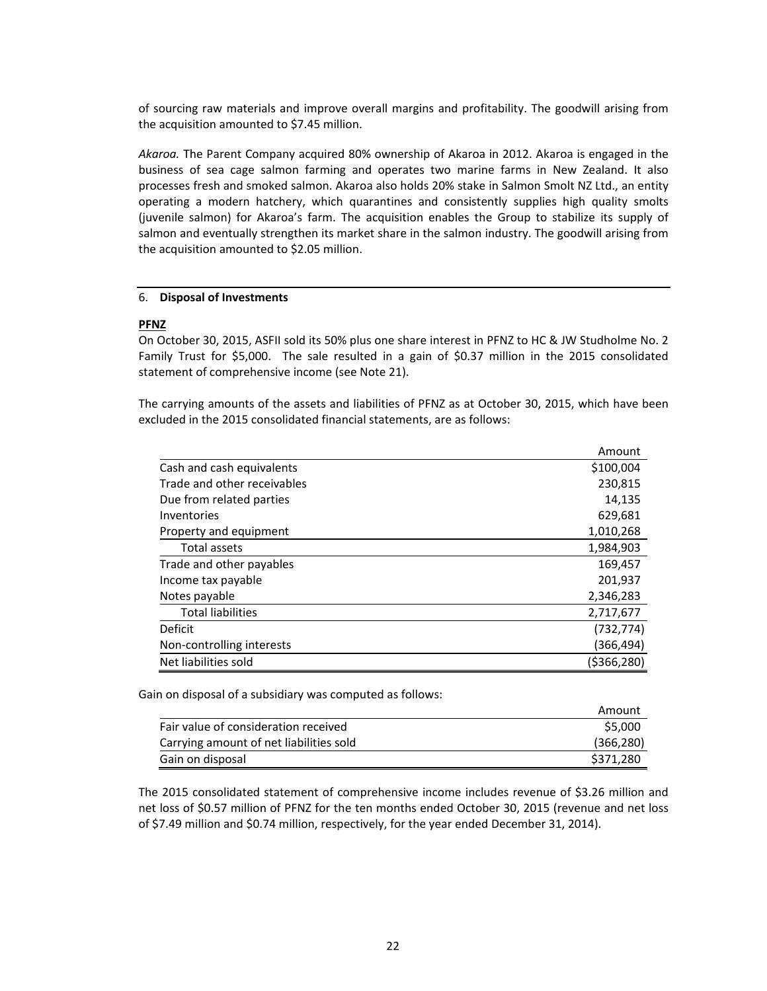of sourcing raw materials and improve overall margins and profitability. The goodwill arising from the acquisition amounted to \$7.45 million.

*Akaroa.* The Parent Company acquired 80% ownership of Akaroa in 2012. Akaroa is engaged in the business of sea cage salmon farming and operates two marine farms in New Zealand. It also processes fresh and smoked salmon. Akaroa also holds 20% stake in Salmon Smolt NZ Ltd., an entity operating a modern hatchery, which quarantines and consistently supplies high quality smolts (juvenile salmon) for Akaroa's farm. The acquisition enables the Group to stabilize its supply of salmon and eventually strengthen its market share in the salmon industry. The goodwill arising from the acquisition amounted to \$2.05 million.

# 6. **Disposal of Investments**

# **PFNZ**

On October 30, 2015, ASFII sold its 50% plus one share interest in PFNZ to HC & JW Studholme No. 2 Family Trust for \$5,000. The sale resulted in a gain of \$0.37 million in the 2015 consolidated statement of comprehensive income (see Note 21).

The carrying amounts of the assets and liabilities of PFNZ as at October 30, 2015, which have been excluded in the 2015 consolidated financial statements, are as follows:

|                             | Amount      |
|-----------------------------|-------------|
| Cash and cash equivalents   | \$100,004   |
| Trade and other receivables | 230,815     |
| Due from related parties    | 14,135      |
| Inventories                 | 629,681     |
| Property and equipment      | 1,010,268   |
| Total assets                | 1,984,903   |
| Trade and other payables    | 169,457     |
| Income tax payable          | 201,937     |
| Notes payable               | 2,346,283   |
| <b>Total liabilities</b>    | 2,717,677   |
| <b>Deficit</b>              | (732, 774)  |
| Non-controlling interests   | (366,494)   |
| Net liabilities sold        | (\$366,280) |

Gain on disposal of a subsidiary was computed as follows:

|                                         | Amount     |
|-----------------------------------------|------------|
| Fair value of consideration received    | \$5,000    |
| Carrying amount of net liabilities sold | (366, 280) |
| Gain on disposal                        | \$371,280  |

The 2015 consolidated statement of comprehensive income includes revenue of \$3.26 million and net loss of \$0.57 million of PFNZ for the ten months ended October 30, 2015 (revenue and net loss of \$7.49 million and \$0.74 million, respectively, for the year ended December 31, 2014).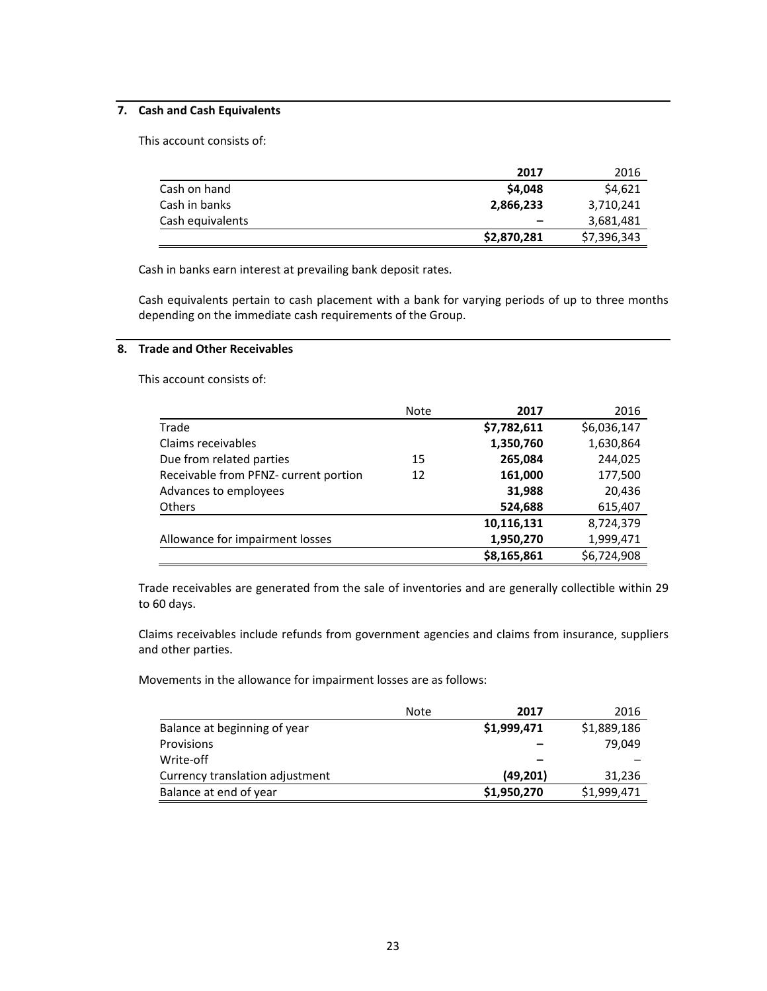# **7. Cash and Cash Equivalents**

This account consists of:

|                  | 2017        | 2016        |
|------------------|-------------|-------------|
| Cash on hand     | \$4,048     | \$4,621     |
| Cash in banks    | 2,866,233   | 3,710,241   |
| Cash equivalents | -           | 3,681,481   |
|                  | \$2,870,281 | \$7,396,343 |

Cash in banks earn interest at prevailing bank deposit rates.

Cash equivalents pertain to cash placement with a bank for varying periods of up to three months depending on the immediate cash requirements of the Group.

# **8. Trade and Other Receivables**

This account consists of:

|                                       | <b>Note</b> | 2017        | 2016        |
|---------------------------------------|-------------|-------------|-------------|
| Trade                                 |             | \$7,782,611 | \$6,036,147 |
| Claims receivables                    |             | 1,350,760   | 1,630,864   |
| Due from related parties              | 15          | 265,084     | 244,025     |
| Receivable from PFNZ- current portion | 12          | 161,000     | 177,500     |
| Advances to employees                 |             | 31,988      | 20,436      |
| <b>Others</b>                         |             | 524,688     | 615,407     |
|                                       |             | 10,116,131  | 8,724,379   |
| Allowance for impairment losses       |             | 1,950,270   | 1,999,471   |
|                                       |             | \$8,165,861 | \$6,724,908 |

Trade receivables are generated from the sale of inventories and are generally collectible within 29 to 60 days.

Claims receivables include refunds from government agencies and claims from insurance, suppliers and other parties.

Movements in the allowance for impairment losses are as follows:

|                                 | Note | 2017        | 2016        |
|---------------------------------|------|-------------|-------------|
| Balance at beginning of year    |      | \$1,999,471 | \$1,889,186 |
| <b>Provisions</b>               |      |             | 79.049      |
| Write-off                       |      |             |             |
| Currency translation adjustment |      | (49, 201)   | 31,236      |
| Balance at end of year          |      | \$1,950,270 | \$1,999,471 |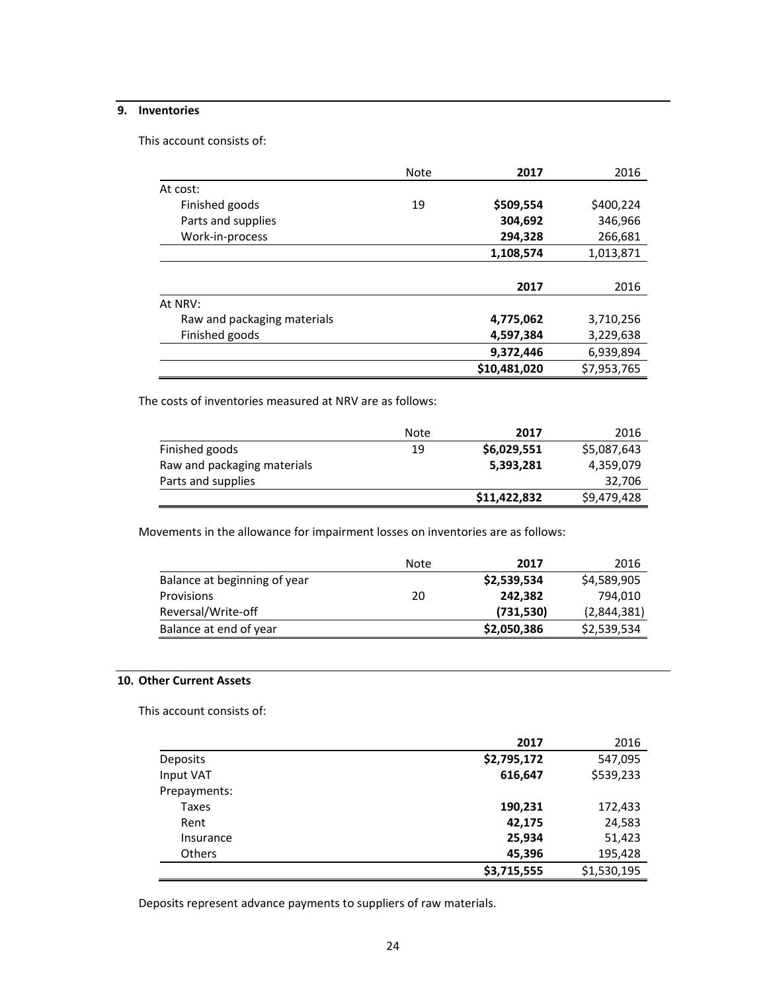# **9. Inventories**

This account consists of:

|                             | Note | 2017         | 2016        |
|-----------------------------|------|--------------|-------------|
| At cost:                    |      |              |             |
| Finished goods              | 19   | \$509,554    | \$400,224   |
| Parts and supplies          |      | 304,692      | 346,966     |
| Work-in-process             |      | 294,328      | 266,681     |
|                             |      | 1,108,574    | 1,013,871   |
|                             |      |              |             |
|                             |      | 2017         | 2016        |
| At NRV:                     |      |              |             |
| Raw and packaging materials |      | 4,775,062    | 3,710,256   |
| Finished goods              |      | 4,597,384    | 3,229,638   |
|                             |      | 9,372,446    | 6,939,894   |
|                             |      | \$10,481,020 | \$7,953,765 |

The costs of inventories measured at NRV are as follows:

|                             | Note | 2017         | 2016        |
|-----------------------------|------|--------------|-------------|
| Finished goods              | 19   | \$6,029,551  | \$5,087,643 |
| Raw and packaging materials |      | 5,393,281    | 4,359,079   |
| Parts and supplies          |      |              | 32,706      |
|                             |      | \$11,422,832 | \$9,479,428 |

Movements in the allowance for impairment losses on inventories are as follows:

|                              | Note | 2017        | 2016        |
|------------------------------|------|-------------|-------------|
| Balance at beginning of year |      | \$2,539,534 | \$4,589,905 |
| <b>Provisions</b>            | 20   | 242.382     | 794.010     |
| Reversal/Write-off           |      | (731,530)   | (2,844,381) |
| Balance at end of year       |      | \$2,050,386 | \$2,539,534 |

# **10. Other Current Assets**

This account consists of:

|                 | 2017        | 2016        |
|-----------------|-------------|-------------|
| <b>Deposits</b> | \$2,795,172 | 547,095     |
| Input VAT       | 616,647     | \$539,233   |
| Prepayments:    |             |             |
| Taxes           | 190,231     | 172,433     |
| Rent            | 42,175      | 24,583      |
| Insurance       | 25,934      | 51,423      |
| <b>Others</b>   | 45,396      | 195,428     |
|                 | \$3,715,555 | \$1,530,195 |

Deposits represent advance payments to suppliers of raw materials.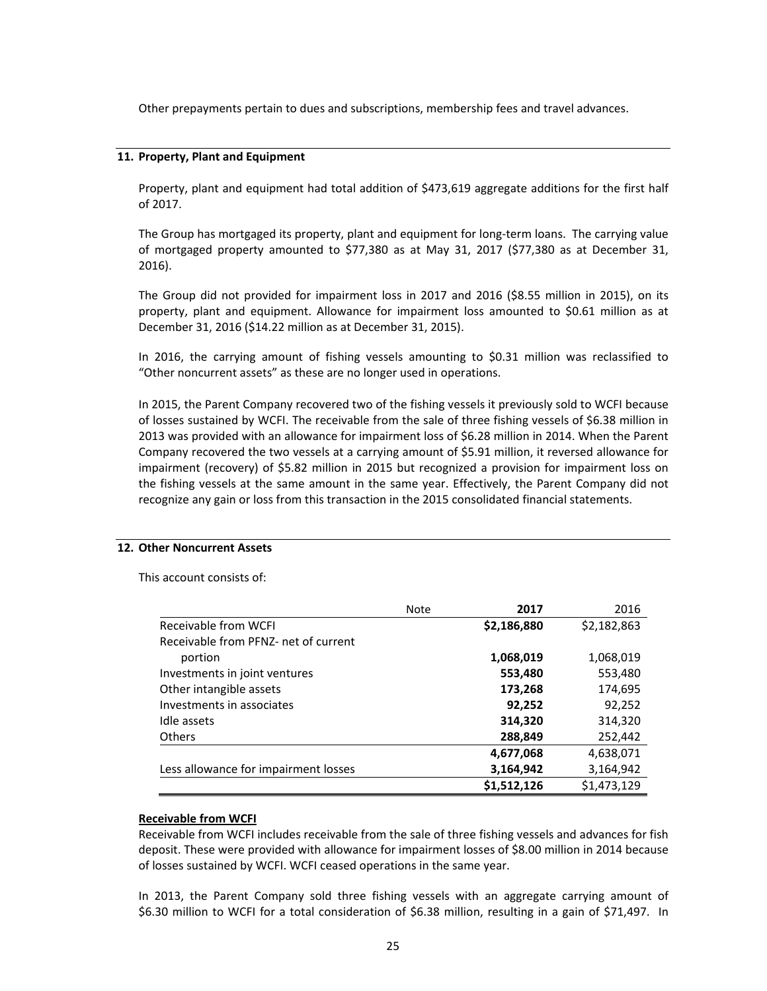Other prepayments pertain to dues and subscriptions, membership fees and travel advances.

#### **11. Property, Plant and Equipment**

Property, plant and equipment had total addition of \$473,619 aggregate additions for the first half of 2017.

The Group has mortgaged its property, plant and equipment for long-term loans. The carrying value of mortgaged property amounted to \$77,380 as at May 31, 2017 (\$77,380 as at December 31, 2016).

The Group did not provided for impairment loss in 2017 and 2016 (\$8.55 million in 2015), on its property, plant and equipment. Allowance for impairment loss amounted to \$0.61 million as at December 31, 2016 (\$14.22 million as at December 31, 2015).

In 2016, the carrying amount of fishing vessels amounting to \$0.31 million was reclassified to "Other noncurrent assets" as these are no longer used in operations.

In 2015, the Parent Company recovered two of the fishing vessels it previously sold to WCFI because of losses sustained by WCFI. The receivable from the sale of three fishing vessels of \$6.38 million in 2013 was provided with an allowance for impairment loss of \$6.28 million in 2014. When the Parent Company recovered the two vessels at a carrying amount of \$5.91 million, it reversed allowance for impairment (recovery) of \$5.82 million in 2015 but recognized a provision for impairment loss on the fishing vessels at the same amount in the same year. Effectively, the Parent Company did not recognize any gain or loss from this transaction in the 2015 consolidated financial statements.

# **12. Other Noncurrent Assets**

This account consists of:

|                                      | <b>Note</b> | 2017        | 2016        |
|--------------------------------------|-------------|-------------|-------------|
| Receivable from WCFI                 |             | \$2,186,880 | \$2,182,863 |
| Receivable from PFNZ- net of current |             |             |             |
| portion                              |             | 1,068,019   | 1,068,019   |
| Investments in joint ventures        |             | 553,480     | 553,480     |
| Other intangible assets              |             | 173,268     | 174,695     |
| Investments in associates            |             | 92,252      | 92,252      |
| Idle assets                          |             | 314,320     | 314,320     |
| <b>Others</b>                        |             | 288,849     | 252,442     |
|                                      |             | 4,677,068   | 4,638,071   |
| Less allowance for impairment losses |             | 3,164,942   | 3,164,942   |
|                                      |             | \$1,512,126 | \$1,473,129 |

#### **Receivable from WCFI**

Receivable from WCFI includes receivable from the sale of three fishing vessels and advances for fish deposit. These were provided with allowance for impairment losses of \$8.00 million in 2014 because of losses sustained by WCFI. WCFI ceased operations in the same year.

In 2013, the Parent Company sold three fishing vessels with an aggregate carrying amount of \$6.30 million to WCFI for a total consideration of \$6.38 million, resulting in a gain of \$71,497. In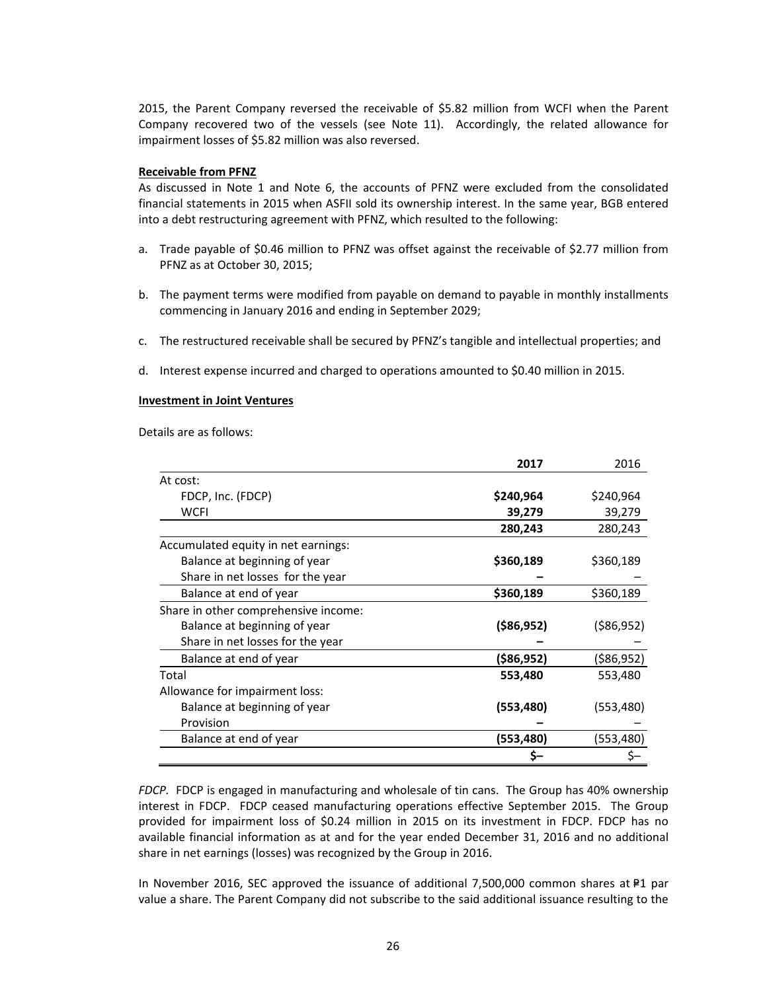2015, the Parent Company reversed the receivable of \$5.82 million from WCFI when the Parent Company recovered two of the vessels (see Note 11). Accordingly, the related allowance for impairment losses of \$5.82 million was also reversed.

#### **Receivable from PFNZ**

As discussed in Note 1 and Note 6, the accounts of PFNZ were excluded from the consolidated financial statements in 2015 when ASFII sold its ownership interest. In the same year, BGB entered into a debt restructuring agreement with PFNZ, which resulted to the following:

- a. Trade payable of \$0.46 million to PFNZ was offset against the receivable of \$2.77 million from PFNZ as at October 30, 2015;
- b. The payment terms were modified from payable on demand to payable in monthly installments commencing in January 2016 and ending in September 2029;
- c. The restructured receivable shall be secured by PFNZ's tangible and intellectual properties; and
- d. Interest expense incurred and charged to operations amounted to \$0.40 million in 2015.

#### **Investment in Joint Ventures**

Details are as follows:

|                                      | 2017         | 2016         |
|--------------------------------------|--------------|--------------|
| At cost:                             |              |              |
| FDCP, Inc. (FDCP)                    | \$240,964    | \$240,964    |
| <b>WCFI</b>                          | 39,279       | 39,279       |
|                                      | 280,243      | 280,243      |
| Accumulated equity in net earnings:  |              |              |
| Balance at beginning of year         | \$360,189    | \$360,189    |
| Share in net losses for the year     |              |              |
| Balance at end of year               | \$360,189    | \$360,189    |
| Share in other comprehensive income: |              |              |
| Balance at beginning of year         | ( \$86, 952) | ( \$86, 952) |
| Share in net losses for the year     |              |              |
| Balance at end of year               | (\$86,952)   | (\$86,952)   |
| Total                                | 553,480      | 553,480      |
| Allowance for impairment loss:       |              |              |
| Balance at beginning of year         | (553, 480)   | (553,480)    |
| Provision                            |              |              |
| Balance at end of year               | (553,480)    | (553,480)    |
|                                      | Ş-           |              |

*FDCP.* FDCP is engaged in manufacturing and wholesale of tin cans. The Group has 40% ownership interest in FDCP. FDCP ceased manufacturing operations effective September 2015. The Group provided for impairment loss of \$0.24 million in 2015 on its investment in FDCP. FDCP has no available financial information as at and for the year ended December 31, 2016 and no additional share in net earnings (losses) was recognized by the Group in 2016.

In November 2016, SEC approved the issuance of additional  $7,500,000$  common shares at  $P1$  par value a share. The Parent Company did not subscribe to the said additional issuance resulting to the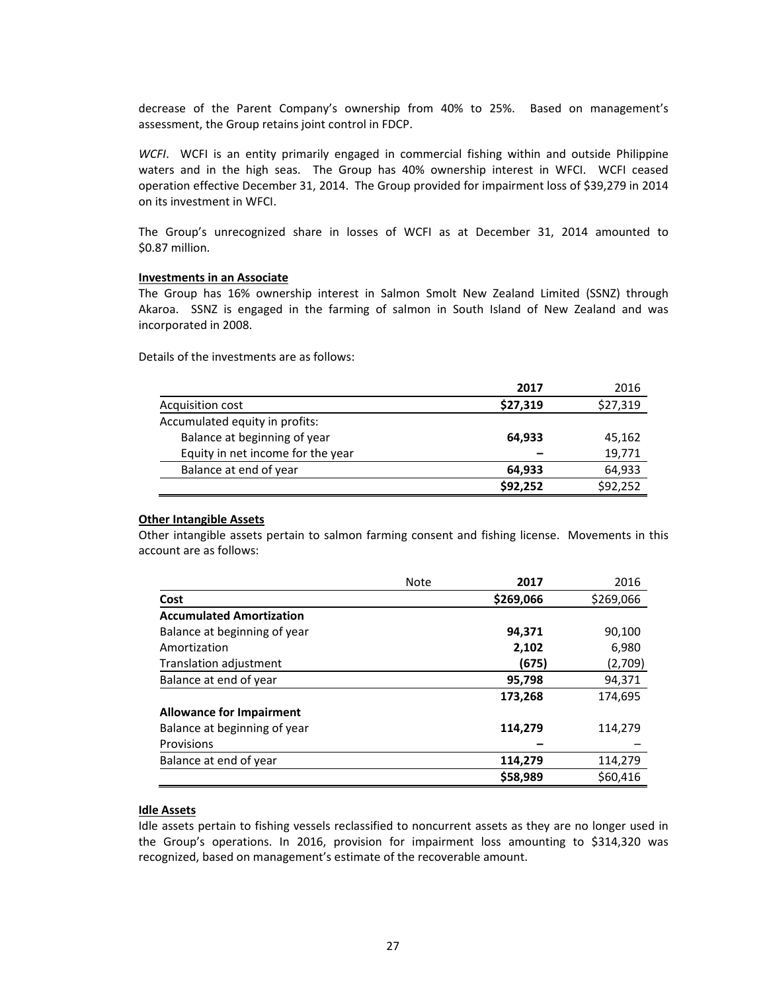decrease of the Parent Company's ownership from 40% to 25%. Based on management's assessment, the Group retains joint control in FDCP.

*WCFI*. WCFI is an entity primarily engaged in commercial fishing within and outside Philippine waters and in the high seas. The Group has 40% ownership interest in WFCI. WCFI ceased operation effective December 31, 2014. The Group provided for impairment loss of \$39,279 in 2014 on its investment in WFCI.

The Group's unrecognized share in losses of WCFI as at December 31, 2014 amounted to \$0.87 million.

#### **Investments in an Associate**

The Group has 16% ownership interest in Salmon Smolt New Zealand Limited (SSNZ) through Akaroa. SSNZ is engaged in the farming of salmon in South Island of New Zealand and was incorporated in 2008.

Details of the investments are as follows:

|                                   | 2017     | 2016     |
|-----------------------------------|----------|----------|
| Acquisition cost                  | \$27,319 | \$27,319 |
| Accumulated equity in profits:    |          |          |
| Balance at beginning of year      | 64,933   | 45,162   |
| Equity in net income for the year |          | 19,771   |
| Balance at end of year            | 64,933   | 64,933   |
|                                   | \$92,252 | \$92,252 |

# **Other Intangible Assets**

Other intangible assets pertain to salmon farming consent and fishing license. Movements in this account are as follows:

|                                 | <b>Note</b> | 2017      | 2016      |
|---------------------------------|-------------|-----------|-----------|
| Cost                            |             | \$269,066 | \$269,066 |
| <b>Accumulated Amortization</b> |             |           |           |
| Balance at beginning of year    |             | 94,371    | 90,100    |
| Amortization                    |             | 2,102     | 6,980     |
| Translation adjustment          |             | (675)     | (2,709)   |
| Balance at end of year          |             | 95,798    | 94,371    |
|                                 |             | 173,268   | 174,695   |
| <b>Allowance for Impairment</b> |             |           |           |
| Balance at beginning of year    |             | 114,279   | 114,279   |
| Provisions                      |             |           |           |
| Balance at end of year          |             | 114,279   | 114,279   |
|                                 |             | \$58,989  | \$60,416  |

# **Idle Assets**

Idle assets pertain to fishing vessels reclassified to noncurrent assets as they are no longer used in the Group's operations. In 2016, provision for impairment loss amounting to \$314,320 was recognized, based on management's estimate of the recoverable amount.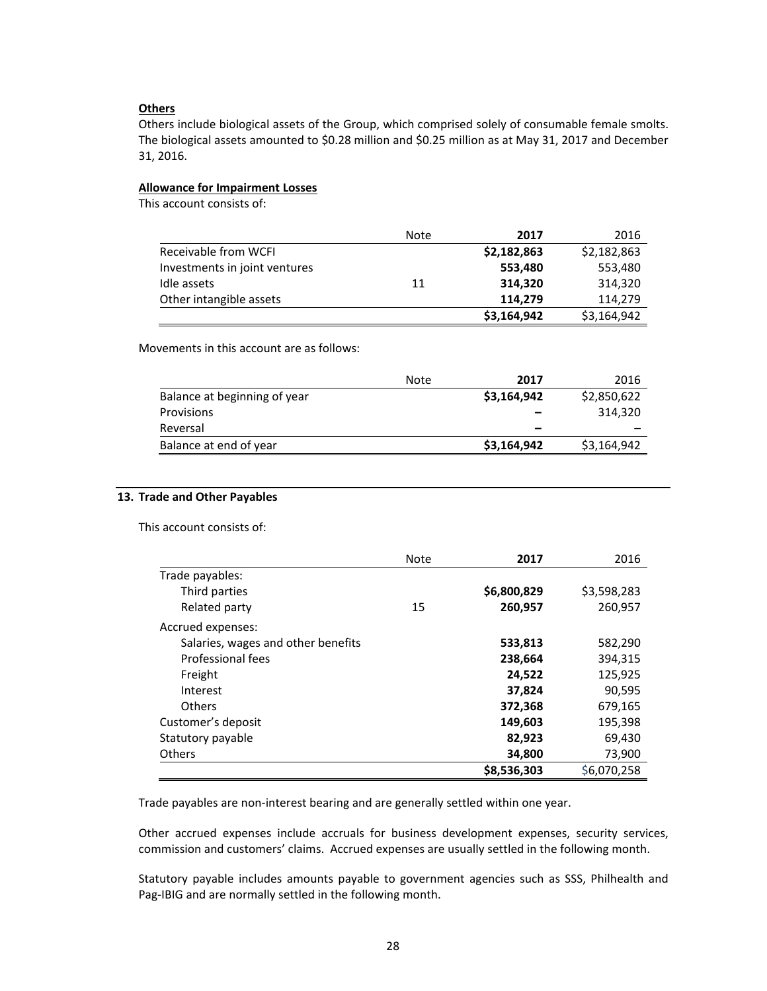#### **Others**

Others include biological assets of the Group, which comprised solely of consumable female smolts. The biological assets amounted to \$0.28 million and \$0.25 million as at May 31, 2017 and December 31, 2016.

# **Allowance for Impairment Losses**

This account consists of:

|                               | Note | 2017        | 2016        |
|-------------------------------|------|-------------|-------------|
| Receivable from WCFI          |      | \$2,182,863 | \$2,182,863 |
| Investments in joint ventures |      | 553,480     | 553,480     |
| Idle assets                   | 11   | 314.320     | 314,320     |
| Other intangible assets       |      | 114,279     | 114,279     |
|                               |      | \$3,164,942 | \$3,164,942 |

Movements in this account are as follows:

|                              | Note | 2017        | 2016        |
|------------------------------|------|-------------|-------------|
| Balance at beginning of year |      | \$3,164,942 | \$2,850,622 |
| <b>Provisions</b>            |      |             | 314.320     |
| Reversal                     |      |             |             |
| Balance at end of year       |      | \$3,164,942 | \$3,164,942 |

#### **13. Trade and Other Payables**

This account consists of:

|                                    | <b>Note</b> | 2017        | 2016        |
|------------------------------------|-------------|-------------|-------------|
| Trade payables:                    |             |             |             |
| Third parties                      |             | \$6,800,829 | \$3,598,283 |
| Related party                      | 15          | 260,957     | 260,957     |
| Accrued expenses:                  |             |             |             |
| Salaries, wages and other benefits |             | 533,813     | 582,290     |
| Professional fees                  |             | 238,664     | 394,315     |
| Freight                            |             | 24,522      | 125,925     |
| Interest                           |             | 37,824      | 90,595      |
| Others                             |             | 372,368     | 679,165     |
| Customer's deposit                 |             | 149,603     | 195,398     |
| Statutory payable                  |             | 82,923      | 69,430      |
| Others                             |             | 34,800      | 73,900      |
|                                    |             | \$8,536,303 | \$6.070.258 |

Trade payables are non‐interest bearing and are generally settled within one year.

Other accrued expenses include accruals for business development expenses, security services, commission and customers' claims. Accrued expenses are usually settled in the following month.

Statutory payable includes amounts payable to government agencies such as SSS, Philhealth and Pag‐IBIG and are normally settled in the following month.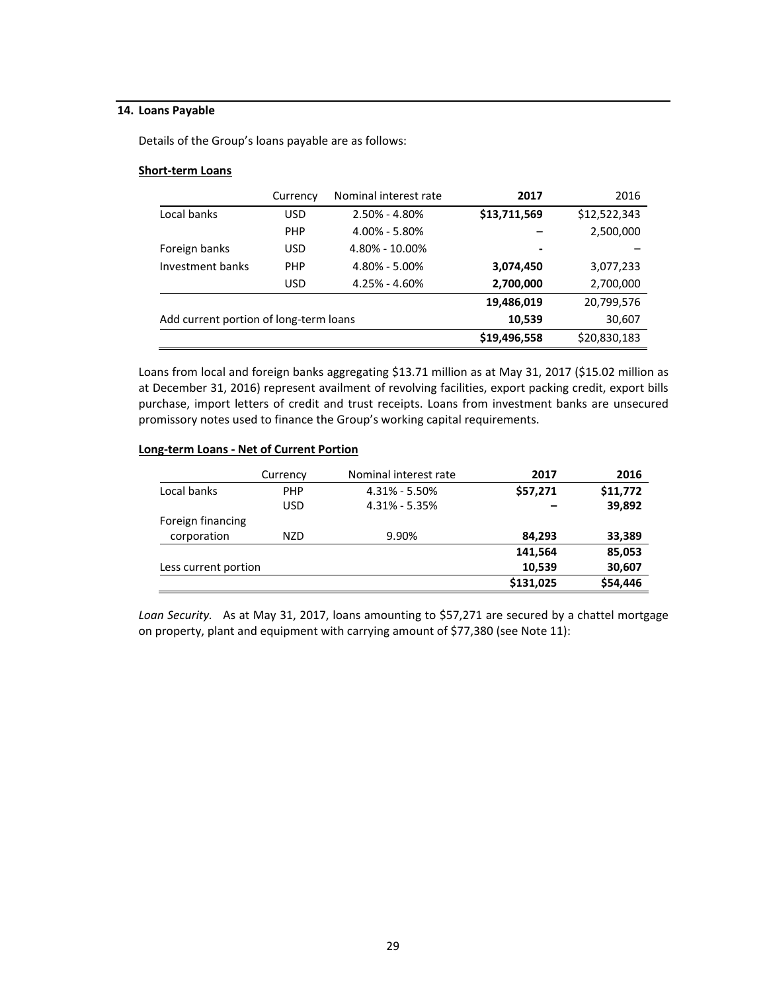# **14. Loans Payable**

Details of the Group's loans payable are as follows:

#### **Short‐term Loans**

|                                        | Currency   | Nominal interest rate | 2017           | 2016         |
|----------------------------------------|------------|-----------------------|----------------|--------------|
| Local banks                            | <b>USD</b> | $2.50\% - 4.80\%$     | \$13,711,569   | \$12,522,343 |
|                                        | <b>PHP</b> | $4.00\% - 5.80\%$     |                | 2,500,000    |
| Foreign banks                          | <b>USD</b> | 4.80% - 10.00%        | $\blacksquare$ |              |
| Investment banks                       | <b>PHP</b> | 4.80% - 5.00%         | 3,074,450      | 3,077,233    |
|                                        | USD        | $4.25\% - 4.60\%$     | 2,700,000      | 2,700,000    |
|                                        |            |                       | 19,486,019     | 20,799,576   |
| Add current portion of long-term loans |            |                       | 10,539         | 30,607       |
|                                        |            |                       | \$19,496,558   | \$20,830,183 |

Loans from local and foreign banks aggregating \$13.71 million as at May 31, 2017 (\$15.02 million as at December 31, 2016) represent availment of revolving facilities, export packing credit, export bills purchase, import letters of credit and trust receipts. Loans from investment banks are unsecured promissory notes used to finance the Group's working capital requirements.

#### **Long‐term Loans ‐ Net of Current Portion**

|                      | Currency   | Nominal interest rate | 2017      | 2016     |
|----------------------|------------|-----------------------|-----------|----------|
| Local banks          | <b>PHP</b> | $4.31\% - 5.50\%$     | \$57,271  | \$11,772 |
|                      | <b>USD</b> | $4.31\% - 5.35\%$     |           | 39,892   |
| Foreign financing    |            |                       |           |          |
| corporation          | <b>NZD</b> | 9.90%                 | 84,293    | 33,389   |
|                      |            |                       | 141,564   | 85,053   |
| Less current portion |            |                       | 10,539    | 30,607   |
|                      |            |                       | \$131,025 | \$54,446 |

*Loan Security.* As at May 31, 2017, loans amounting to \$57,271 are secured by a chattel mortgage on property, plant and equipment with carrying amount of \$77,380 (see Note 11):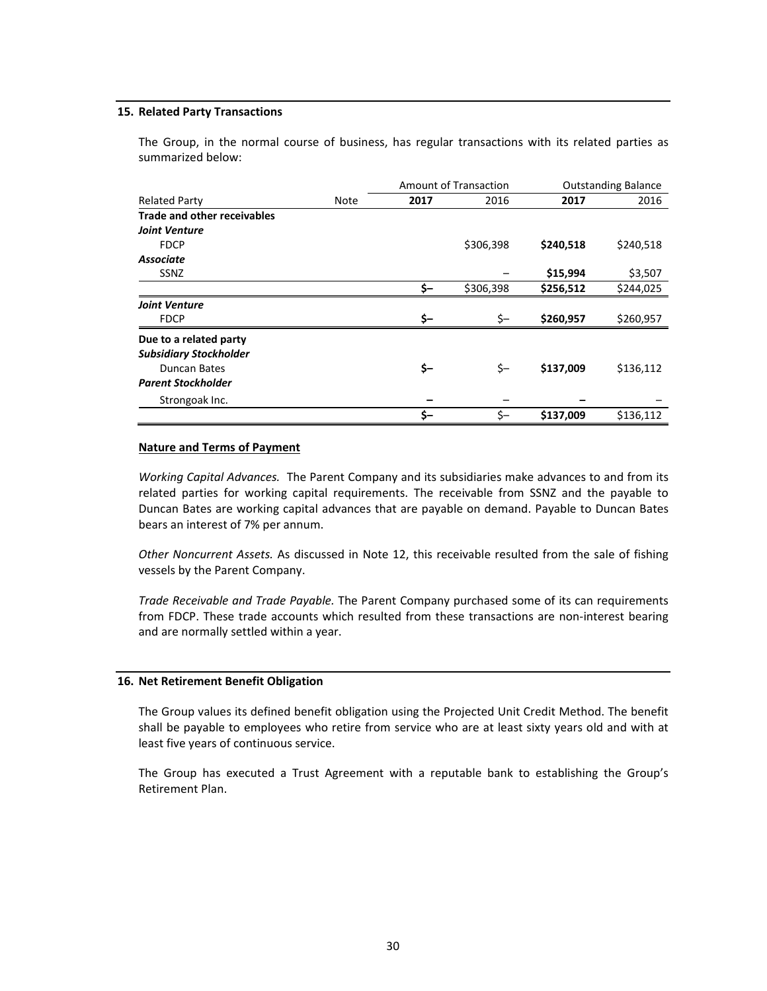#### **15. Related Party Transactions**

The Group, in the normal course of business, has regular transactions with its related parties as summarized below:

|                                    |      | <b>Amount of Transaction</b> |           |           | <b>Outstanding Balance</b> |
|------------------------------------|------|------------------------------|-----------|-----------|----------------------------|
| <b>Related Party</b>               | Note | 2017                         | 2016      | 2017      | 2016                       |
| <b>Trade and other receivables</b> |      |                              |           |           |                            |
| <b>Joint Venture</b>               |      |                              |           |           |                            |
| <b>FDCP</b>                        |      |                              | \$306,398 | \$240,518 | \$240,518                  |
| <b>Associate</b>                   |      |                              |           |           |                            |
| <b>SSNZ</b>                        |      |                              |           | \$15,994  | \$3,507                    |
|                                    |      | \$-                          | \$306,398 | \$256,512 | \$244,025                  |
| <b>Joint Venture</b>               |      |                              |           |           |                            |
| <b>FDCP</b>                        |      | \$-                          | \$-       | \$260,957 | \$260,957                  |
| Due to a related party             |      |                              |           |           |                            |
| <b>Subsidiary Stockholder</b>      |      |                              |           |           |                            |
| Duncan Bates                       |      | \$-                          | \$-       | \$137,009 | \$136,112                  |
| <b>Parent Stockholder</b>          |      |                              |           |           |                            |
| Strongoak Inc.                     |      |                              |           |           |                            |
|                                    |      | \$-                          | \$-       | \$137,009 | \$136,112                  |

#### **Nature and Terms of Payment**

*Working Capital Advances.* The Parent Company and its subsidiaries make advances to and from its related parties for working capital requirements. The receivable from SSNZ and the payable to Duncan Bates are working capital advances that are payable on demand. Payable to Duncan Bates bears an interest of 7% per annum.

*Other Noncurrent Assets.* As discussed in Note 12, this receivable resulted from the sale of fishing vessels by the Parent Company.

*Trade Receivable and Trade Payable.* The Parent Company purchased some of its can requirements from FDCP. These trade accounts which resulted from these transactions are non-interest bearing and are normally settled within a year.

#### **16. Net Retirement Benefit Obligation**

The Group values its defined benefit obligation using the Projected Unit Credit Method. The benefit shall be payable to employees who retire from service who are at least sixty years old and with at least five years of continuous service.

The Group has executed a Trust Agreement with a reputable bank to establishing the Group's Retirement Plan.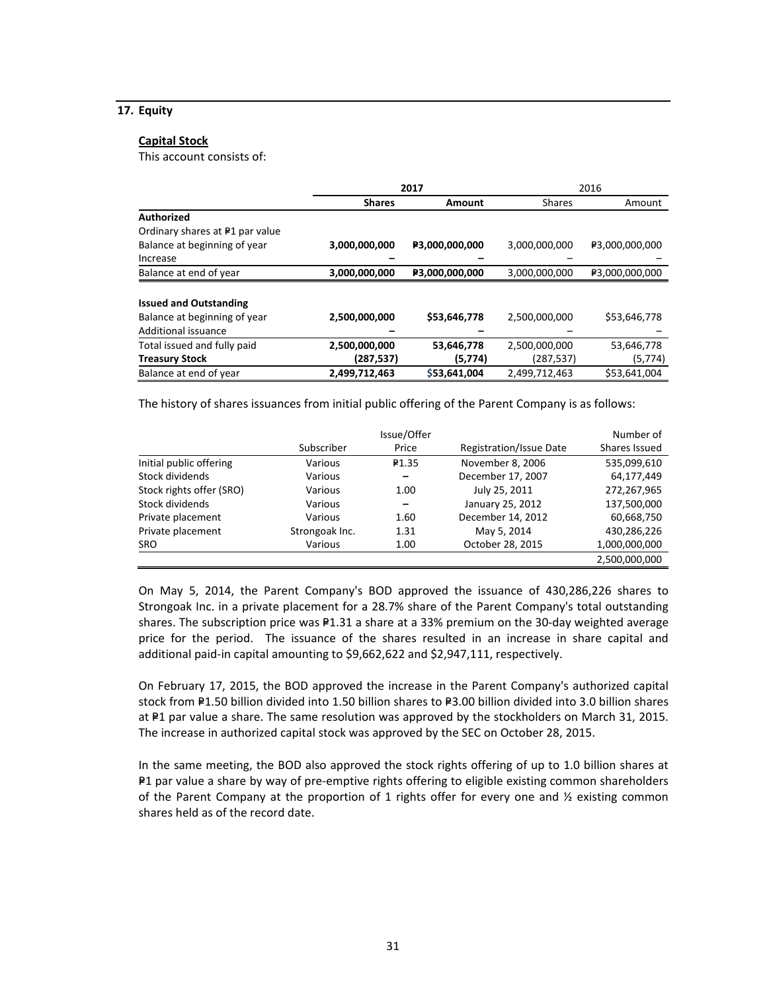# **17. Equity**

#### **Capital Stock**

This account consists of:

|                                            |                         | 2017           | 2016          |                |  |
|--------------------------------------------|-------------------------|----------------|---------------|----------------|--|
|                                            | <b>Shares</b><br>Amount |                | <b>Shares</b> | Amount         |  |
| <b>Authorized</b>                          |                         |                |               |                |  |
| Ordinary shares at <sup>₽1</sup> par value |                         |                |               |                |  |
| Balance at beginning of year               | 3,000,000,000           | P3,000,000,000 | 3,000,000,000 | ₽3,000,000,000 |  |
| Increase                                   |                         |                |               |                |  |
| Balance at end of year                     | 3,000,000,000           | P3,000,000,000 | 3,000,000,000 | ₽3,000,000,000 |  |
|                                            |                         |                |               |                |  |
| <b>Issued and Outstanding</b>              |                         |                |               |                |  |
| Balance at beginning of year               | 2,500,000,000           | \$53,646,778   | 2,500,000,000 | \$53,646,778   |  |
| Additional issuance                        |                         |                |               |                |  |
| Total issued and fully paid                | 2,500,000,000           | 53,646,778     | 2,500,000,000 | 53,646,778     |  |
| <b>Treasury Stock</b>                      | (287, 537)              | (5, 774)       | (287, 537)    | (5, 774)       |  |
| Balance at end of year                     | 2,499,712,463           | \$53,641,004   | 2,499,712,463 | \$53,641,004   |  |

The history of shares issuances from initial public offering of the Parent Company is as follows:

|                          |                | Issue/Offer |                         | Number of     |
|--------------------------|----------------|-------------|-------------------------|---------------|
|                          | Subscriber     | Price       | Registration/Issue Date | Shares Issued |
| Initial public offering  | Various        | ₽1.35       | November 8, 2006        | 535,099,610   |
| Stock dividends          | Various        |             | December 17, 2007       | 64,177,449    |
| Stock rights offer (SRO) | Various        | 1.00        | July 25, 2011           | 272,267,965   |
| Stock dividends          | Various        |             | January 25, 2012        | 137,500,000   |
| Private placement        | Various        | 1.60        | December 14, 2012       | 60,668,750    |
| Private placement        | Strongoak Inc. | 1.31        | May 5, 2014             | 430,286,226   |
| <b>SRO</b>               | Various        | 1.00        | October 28, 2015        | 1,000,000,000 |
|                          |                |             |                         | 2,500,000,000 |

On May 5, 2014, the Parent Company's BOD approved the issuance of 430,286,226 shares to Strongoak Inc. in a private placement for a 28.7% share of the Parent Company's total outstanding shares. The subscription price was  $P1.31$  a share at a 33% premium on the 30-day weighted average price for the period. The issuance of the shares resulted in an increase in share capital and additional paid‐in capital amounting to \$9,662,622 and \$2,947,111, respectively.

On February 17, 2015, the BOD approved the increase in the Parent Company's authorized capital stock from P1.50 billion divided into 1.50 billion shares to P3.00 billion divided into 3.0 billion shares at P1 par value a share. The same resolution was approved by the stockholders on March 31, 2015. The increase in authorized capital stock was approved by the SEC on October 28, 2015.

In the same meeting, the BOD also approved the stock rights offering of up to 1.0 billion shares at P1 par value a share by way of pre-emptive rights offering to eligible existing common shareholders of the Parent Company at the proportion of 1 rights offer for every one and  $\frac{1}{2}$  existing common shares held as of the record date.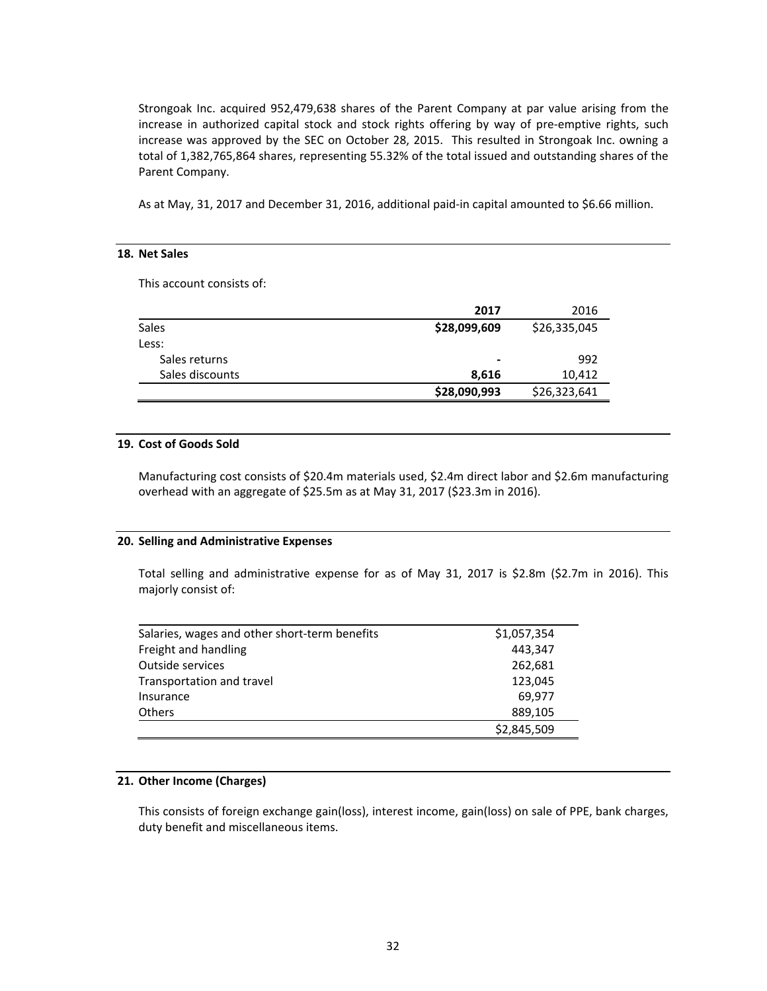Strongoak Inc. acquired 952,479,638 shares of the Parent Company at par value arising from the increase in authorized capital stock and stock rights offering by way of pre-emptive rights, such increase was approved by the SEC on October 28, 2015. This resulted in Strongoak Inc. owning a total of 1,382,765,864 shares, representing 55.32% of the total issued and outstanding shares of the Parent Company.

As at May, 31, 2017 and December 31, 2016, additional paid‐in capital amounted to \$6.66 million.

#### **18. Net Sales**

This account consists of:

|                 | 2017                     | 2016         |
|-----------------|--------------------------|--------------|
| Sales           | \$28,099,609             | \$26,335,045 |
| Less:           |                          |              |
| Sales returns   | $\overline{\phantom{0}}$ | 992          |
| Sales discounts | 8,616                    | 10,412       |
|                 | \$28,090,993             | \$26,323,641 |

#### **19. Cost of Goods Sold**

Manufacturing cost consists of \$20.4m materials used, \$2.4m direct labor and \$2.6m manufacturing overhead with an aggregate of \$25.5m as at May 31, 2017 (\$23.3m in 2016).

#### **20. Selling and Administrative Expenses**

Total selling and administrative expense for as of May 31, 2017 is \$2.8m (\$2.7m in 2016). This majorly consist of:

| Salaries, wages and other short-term benefits<br>\$1,057,354 |             |  |
|--------------------------------------------------------------|-------------|--|
| Freight and handling                                         | 443.347     |  |
| Outside services                                             | 262,681     |  |
| Transportation and travel                                    | 123,045     |  |
| Insurance                                                    | 69.977      |  |
| <b>Others</b>                                                | 889,105     |  |
|                                                              | \$2,845,509 |  |

# **21. Other Income (Charges)**

This consists of foreign exchange gain(loss), interest income, gain(loss) on sale of PPE, bank charges, duty benefit and miscellaneous items.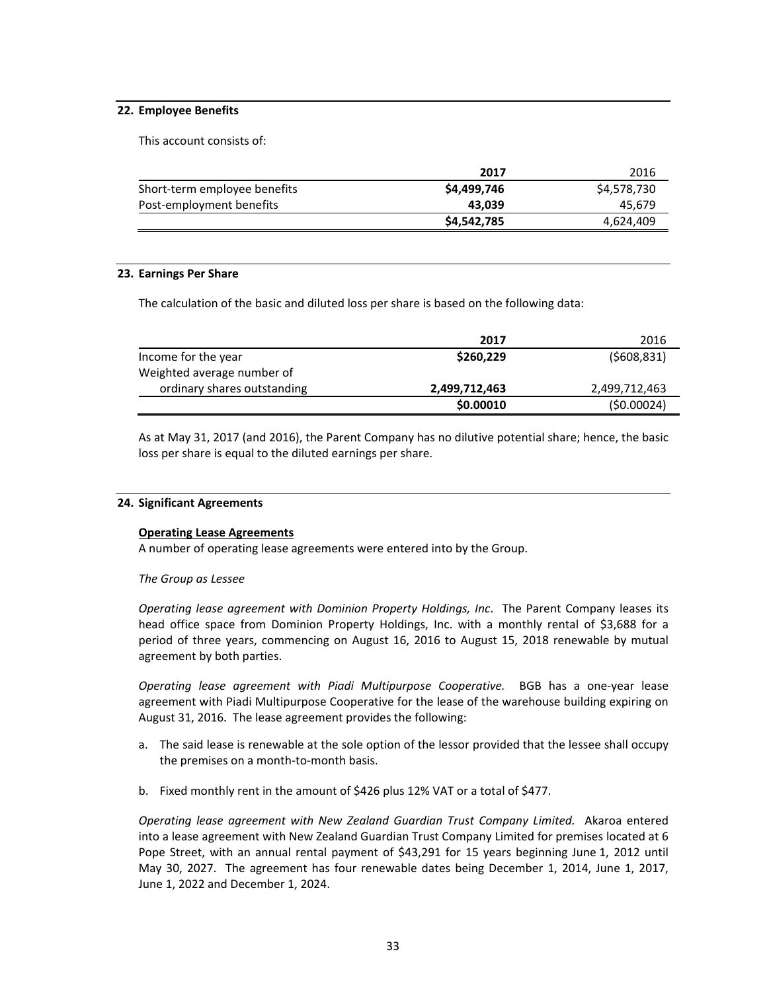# **22. Employee Benefits**

This account consists of:

|                              | 2017        | 2016        |
|------------------------------|-------------|-------------|
| Short-term employee benefits | \$4,499,746 | \$4,578,730 |
| Post-employment benefits     | 43.039      | 45.679      |
|                              | \$4,542,785 | 4,624,409   |

# **23. Earnings Per Share**

The calculation of the basic and diluted loss per share is based on the following data:

|                             | 2017          | 2016          |
|-----------------------------|---------------|---------------|
| Income for the year         | \$260.229     | (5608, 831)   |
| Weighted average number of  |               |               |
| ordinary shares outstanding | 2,499,712,463 | 2,499,712,463 |
|                             | \$0.00010     | (50.00024)    |

As at May 31, 2017 (and 2016), the Parent Company has no dilutive potential share; hence, the basic loss per share is equal to the diluted earnings per share.

# **24. Significant Agreements**

# **Operating Lease Agreements**

A number of operating lease agreements were entered into by the Group.

# *The Group as Lessee*

*Operating lease agreement with Dominion Property Holdings, Inc*. The Parent Company leases its head office space from Dominion Property Holdings, Inc. with a monthly rental of \$3,688 for a period of three years, commencing on August 16, 2016 to August 15, 2018 renewable by mutual agreement by both parties.

*Operating lease agreement with Piadi Multipurpose Cooperative.* BGB has a one-year lease agreement with Piadi Multipurpose Cooperative for the lease of the warehouse building expiring on August 31, 2016. The lease agreement provides the following:

- a. The said lease is renewable at the sole option of the lessor provided that the lessee shall occupy the premises on a month‐to‐month basis.
- b. Fixed monthly rent in the amount of \$426 plus 12% VAT or a total of \$477.

*Operating lease agreement with New Zealand Guardian Trust Company Limited.* Akaroa entered into a lease agreement with New Zealand Guardian Trust Company Limited for premises located at 6 Pope Street, with an annual rental payment of \$43,291 for 15 years beginning June 1, 2012 until May 30, 2027. The agreement has four renewable dates being December 1, 2014, June 1, 2017, June 1, 2022 and December 1, 2024.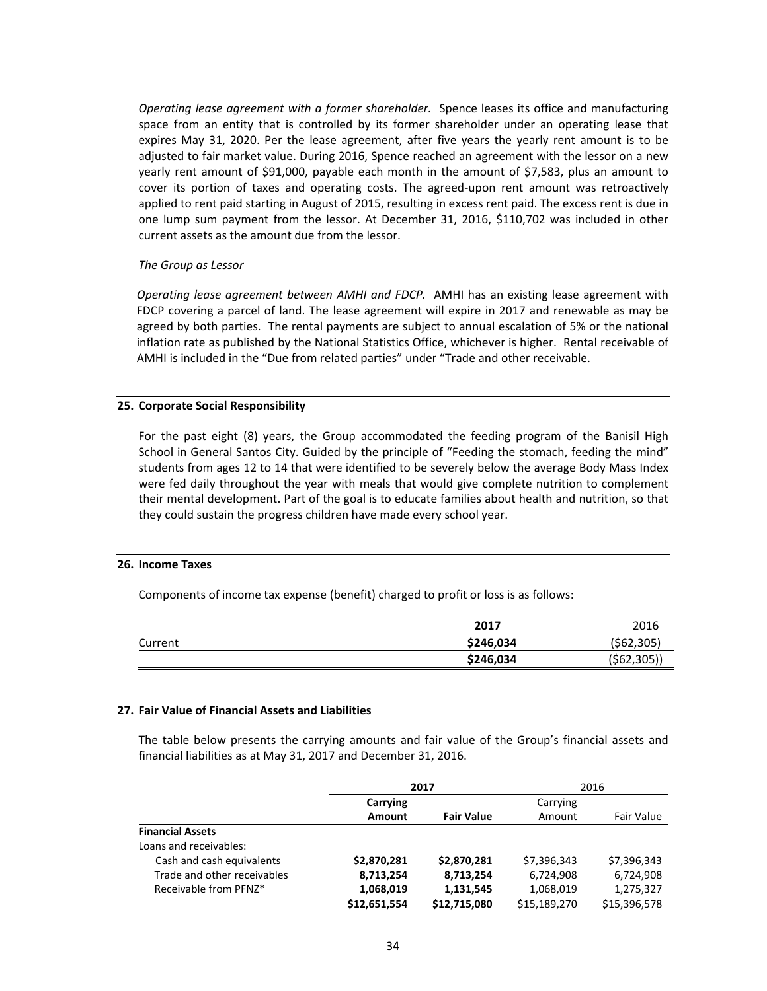*Operating lease agreement with a former shareholder.* Spence leases its office and manufacturing space from an entity that is controlled by its former shareholder under an operating lease that expires May 31, 2020. Per the lease agreement, after five years the yearly rent amount is to be adjusted to fair market value. During 2016, Spence reached an agreement with the lessor on a new yearly rent amount of \$91,000, payable each month in the amount of \$7,583, plus an amount to cover its portion of taxes and operating costs. The agreed-upon rent amount was retroactively applied to rent paid starting in August of 2015, resulting in excess rent paid. The excess rent is due in one lump sum payment from the lessor. At December 31, 2016, \$110,702 was included in other current assets as the amount due from the lessor.

# *The Group as Lessor*

*Operating lease agreement between AMHI and FDCP.* AMHI has an existing lease agreement with FDCP covering a parcel of land. The lease agreement will expire in 2017 and renewable as may be agreed by both parties. The rental payments are subject to annual escalation of 5% or the national inflation rate as published by the National Statistics Office, whichever is higher. Rental receivable of AMHI is included in the "Due from related parties" under "Trade and other receivable.

# **25. Corporate Social Responsibility**

For the past eight (8) years, the Group accommodated the feeding program of the Banisil High School in General Santos City. Guided by the principle of "Feeding the stomach, feeding the mind" students from ages 12 to 14 that were identified to be severely below the average Body Mass Index were fed daily throughout the year with meals that would give complete nutrition to complement their mental development. Part of the goal is to educate families about health and nutrition, so that they could sustain the progress children have made every school year.

#### **26. Income Taxes**

Components of income tax expense (benefit) charged to profit or loss is as follows:

|         | 2017      | 2016       |
|---------|-----------|------------|
| Current | \$246,034 | (562, 305) |
|         | \$246,034 | (562,305)  |

#### **27. Fair Value of Financial Assets and Liabilities**

The table below presents the carrying amounts and fair value of the Group's financial assets and financial liabilities as at May 31, 2017 and December 31, 2016.

|                             | 2017         |                   | 2016         |                   |  |
|-----------------------------|--------------|-------------------|--------------|-------------------|--|
|                             | Carrying     |                   | Carrying     |                   |  |
|                             | Amount       | <b>Fair Value</b> | Amount       | <b>Fair Value</b> |  |
| <b>Financial Assets</b>     |              |                   |              |                   |  |
| Loans and receivables:      |              |                   |              |                   |  |
| Cash and cash equivalents   | \$2,870,281  | \$2,870,281       | \$7,396,343  | \$7,396,343       |  |
| Trade and other receivables | 8,713,254    | 8,713,254         | 6,724,908    | 6,724,908         |  |
| Receivable from PFNZ*       | 1,068,019    | 1,131,545         | 1,068,019    | 1,275,327         |  |
|                             | \$12,651,554 | \$12,715,080      | \$15,189,270 | \$15,396,578      |  |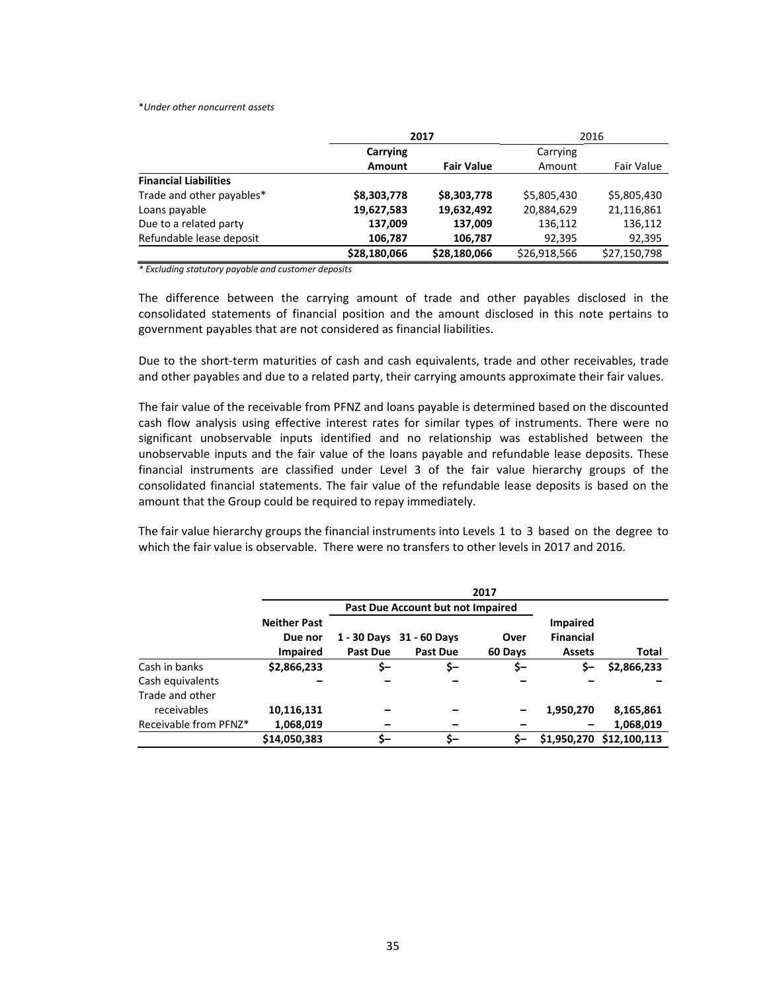#### \**Under other noncurrent assets*

|                              | 2017         |                   |              | 2016         |  |
|------------------------------|--------------|-------------------|--------------|--------------|--|
|                              | Carrying     |                   | Carrying     |              |  |
|                              | Amount       | <b>Fair Value</b> | Amount       | Fair Value   |  |
| <b>Financial Liabilities</b> |              |                   |              |              |  |
| Trade and other payables*    | \$8,303,778  | \$8,303,778       | \$5,805,430  | \$5,805,430  |  |
| Loans payable                | 19,627,583   | 19,632,492        | 20,884,629   | 21,116,861   |  |
| Due to a related party       | 137,009      | 137,009           | 136,112      | 136,112      |  |
| Refundable lease deposit     | 106,787      | 106,787           | 92,395       | 92,395       |  |
|                              | \$28,180,066 | \$28,180,066      | \$26,918,566 | \$27,150,798 |  |

*\* Excluding statutory payable and customer deposits* 

The difference between the carrying amount of trade and other payables disclosed in the consolidated statements of financial position and the amount disclosed in this note pertains to government payables that are not considered as financial liabilities.

Due to the short-term maturities of cash and cash equivalents, trade and other receivables, trade and other payables and due to a related party, their carrying amounts approximate their fair values.

The fair value of the receivable from PFNZ and loans payable is determined based on the discounted cash flow analysis using effective interest rates for similar types of instruments. There were no significant unobservable inputs identified and no relationship was established between the unobservable inputs and the fair value of the loans payable and refundable lease deposits. These financial instruments are classified under Level 3 of the fair value hierarchy groups of the consolidated financial statements. The fair value of the refundable lease deposits is based on the amount that the Group could be required to repay immediately.

The fair value hierarchy groups the financial instruments into Levels 1 to 3 based on the degree to which the fair value is observable. There were no transfers to other levels in 2017 and 2016.

|                                | 2017                                              |                                   |                                             |                 |                                                      |              |
|--------------------------------|---------------------------------------------------|-----------------------------------|---------------------------------------------|-----------------|------------------------------------------------------|--------------|
|                                |                                                   | Past Due Account but not Impaired |                                             |                 |                                                      |              |
|                                | <b>Neither Past</b><br>Due nor<br><b>Impaired</b> | <b>Past Due</b>                   | 1 - 30 Days 31 - 60 Days<br><b>Past Due</b> | Over<br>60 Days | <b>Impaired</b><br><b>Financial</b><br><b>Assets</b> | Total        |
| Cash in banks                  | \$2,866,233                                       | \$-                               | \$-                                         | \$-             | s-                                                   | \$2,866,233  |
| Cash equivalents               |                                                   |                                   |                                             |                 |                                                      |              |
| Trade and other<br>receivables | 10,116,131                                        |                                   |                                             |                 | 1,950,270                                            | 8,165,861    |
| Receivable from PFNZ*          | 1,068,019                                         |                                   |                                             |                 |                                                      | 1,068,019    |
|                                | \$14,050,383                                      | \$-                               | \$-                                         | \$-             | \$1,950,270                                          | \$12,100,113 |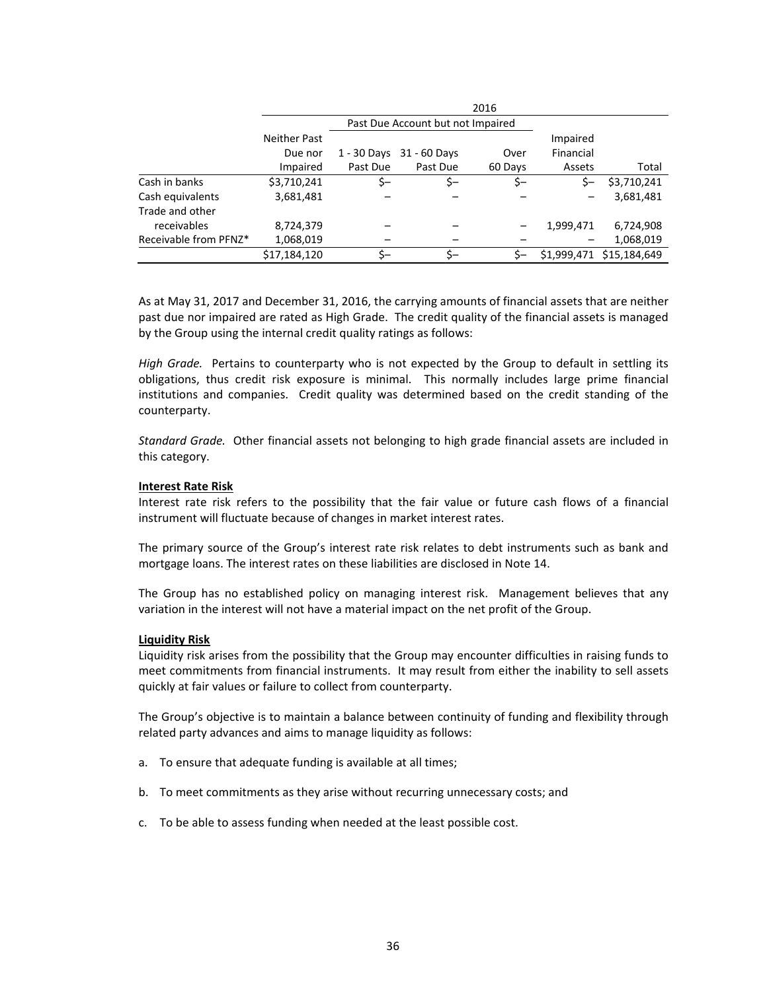|                       | 2016         |                                   |              |         |             |              |
|-----------------------|--------------|-----------------------------------|--------------|---------|-------------|--------------|
|                       |              | Past Due Account but not Impaired |              |         |             |              |
|                       | Neither Past |                                   |              |         | Impaired    |              |
|                       | Due nor      | $1 - 30$ Days                     | 31 - 60 Days | Over    | Financial   |              |
|                       | Impaired     | Past Due                          | Past Due     | 60 Days | Assets      | Total        |
| Cash in banks         | \$3,710,241  | \$-                               | \$-          | \$-     | \$-         | \$3,710,241  |
| Cash equivalents      | 3,681,481    |                                   |              |         |             | 3,681,481    |
| Trade and other       |              |                                   |              |         |             |              |
| receivables           | 8,724,379    |                                   |              |         | 1,999,471   | 6,724,908    |
| Receivable from PFNZ* | 1,068,019    |                                   |              |         |             | 1,068,019    |
|                       | \$17,184,120 |                                   | \$–          |         | \$1,999,471 | \$15,184,649 |

As at May 31, 2017 and December 31, 2016, the carrying amounts of financial assets that are neither past due nor impaired are rated as High Grade. The credit quality of the financial assets is managed by the Group using the internal credit quality ratings as follows:

*High Grade.* Pertains to counterparty who is not expected by the Group to default in settling its obligations, thus credit risk exposure is minimal. This normally includes large prime financial institutions and companies. Credit quality was determined based on the credit standing of the counterparty.

*Standard Grade.*  Other financial assets not belonging to high grade financial assets are included in this category.

#### **Interest Rate Risk**

Interest rate risk refers to the possibility that the fair value or future cash flows of a financial instrument will fluctuate because of changes in market interest rates.

The primary source of the Group's interest rate risk relates to debt instruments such as bank and mortgage loans. The interest rates on these liabilities are disclosed in Note 14.

The Group has no established policy on managing interest risk. Management believes that any variation in the interest will not have a material impact on the net profit of the Group.

#### **Liquidity Risk**

Liquidity risk arises from the possibility that the Group may encounter difficulties in raising funds to meet commitments from financial instruments. It may result from either the inability to sell assets quickly at fair values or failure to collect from counterparty.

The Group's objective is to maintain a balance between continuity of funding and flexibility through related party advances and aims to manage liquidity as follows:

- a. To ensure that adequate funding is available at all times;
- b. To meet commitments as they arise without recurring unnecessary costs; and
- c. To be able to assess funding when needed at the least possible cost.